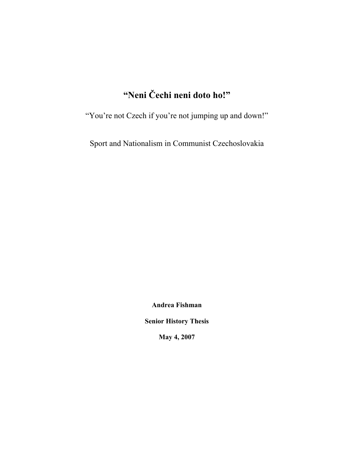# **"Neni Čechi neni doto ho!"**

"You're not Czech if you're not jumping up and down!"

Sport and Nationalism in Communist Czechoslovakia

**Andrea Fishman** 

**Senior History Thesis** 

**May 4, 2007**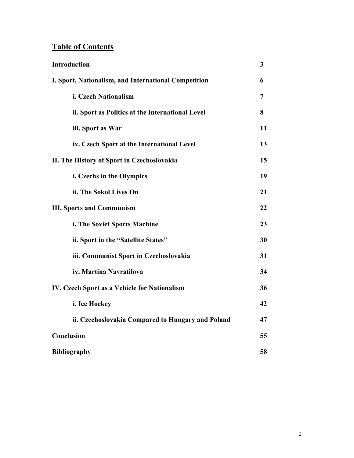# **Table of Contents**

| <b>Introduction</b>                                  | 3  |
|------------------------------------------------------|----|
| I. Sport, Nationalism, and International Competition | 6  |
| i. Czech Nationalism                                 | 7  |
| ii. Sport as Politics at the International Level     | 8  |
| iii. Sport as War                                    | 11 |
| iv. Czech Sport at the International Level           | 13 |
| II. The History of Sport in Czechoslovakia           | 15 |
| i. Czechs in the Olympics                            | 19 |
| ii. The Sokol Lives On                               | 21 |
| <b>III. Sports and Communism</b>                     | 22 |
| i. The Soviet Sports Machine                         | 23 |
| ii. Sport in the "Satellite States"                  | 30 |
| iii. Communist Sport in Czechoslovakia               | 31 |
| iv. Martina Navratilova                              | 34 |
| IV. Czech Sport as a Vehicle for Nationalism         | 36 |
| i. Ice Hockey                                        | 42 |
| ii. Czechoslovakia Compared to Hungary and Poland    | 47 |
| Conclusion                                           | 55 |
| <b>Bibliography</b>                                  | 58 |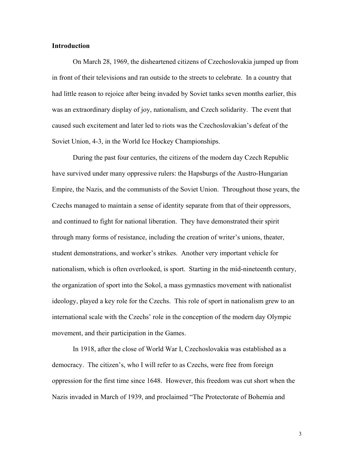#### **Introduction**

 On March 28, 1969, the disheartened citizens of Czechoslovakia jumped up from in front of their televisions and ran outside to the streets to celebrate. In a country that had little reason to rejoice after being invaded by Soviet tanks seven months earlier, this was an extraordinary display of joy, nationalism, and Czech solidarity. The event that caused such excitement and later led to riots was the Czechoslovakian's defeat of the Soviet Union, 4-3, in the World Ice Hockey Championships.

 During the past four centuries, the citizens of the modern day Czech Republic have survived under many oppressive rulers: the Hapsburgs of the Austro-Hungarian Empire, the Nazis, and the communists of the Soviet Union. Throughout those years, the Czechs managed to maintain a sense of identity separate from that of their oppressors, and continued to fight for national liberation. They have demonstrated their spirit through many forms of resistance, including the creation of writer's unions, theater, student demonstrations, and worker's strikes. Another very important vehicle for nationalism, which is often overlooked, is sport. Starting in the mid-nineteenth century, the organization of sport into the Sokol, a mass gymnastics movement with nationalist ideology, played a key role for the Czechs. This role of sport in nationalism grew to an international scale with the Czechs' role in the conception of the modern day Olympic movement, and their participation in the Games.

 In 1918, after the close of World War I, Czechoslovakia was established as a democracy. The citizen's, who I will refer to as Czechs, were free from foreign oppression for the first time since 1648. However, this freedom was cut short when the Nazis invaded in March of 1939, and proclaimed "The Protectorate of Bohemia and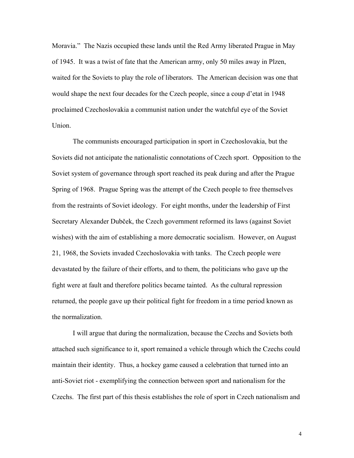Moravia." The Nazis occupied these lands until the Red Army liberated Prague in May of 1945. It was a twist of fate that the American army, only 50 miles away in Plzen, waited for the Soviets to play the role of liberators. The American decision was one that would shape the next four decades for the Czech people, since a coup d'etat in 1948 proclaimed Czechoslovakia a communist nation under the watchful eye of the Soviet Union.

 The communists encouraged participation in sport in Czechoslovakia, but the Soviets did not anticipate the nationalistic connotations of Czech sport. Opposition to the Soviet system of governance through sport reached its peak during and after the Prague Spring of 1968. Prague Spring was the attempt of the Czech people to free themselves from the restraints of Soviet ideology. For eight months, under the leadership of First Secretary Alexander Dubček, the Czech government reformed its laws (against Soviet wishes) with the aim of establishing a more democratic socialism. However, on August 21, 1968, the Soviets invaded Czechoslovakia with tanks. The Czech people were devastated by the failure of their efforts, and to them, the politicians who gave up the fight were at fault and therefore politics became tainted. As the cultural repression returned, the people gave up their political fight for freedom in a time period known as the normalization.

I will argue that during the normalization, because the Czechs and Soviets both attached such significance to it, sport remained a vehicle through which the Czechs could maintain their identity. Thus, a hockey game caused a celebration that turned into an anti-Soviet riot - exemplifying the connection between sport and nationalism for the Czechs. The first part of this thesis establishes the role of sport in Czech nationalism and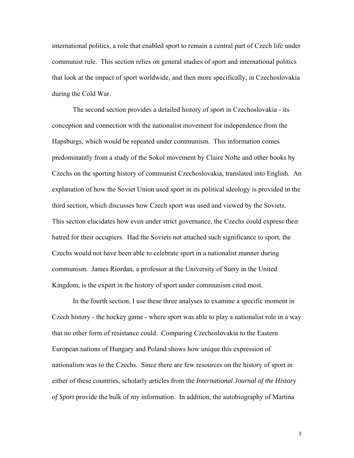international politics, a role that enabled sport to remain a central part of Czech life under communist rule. This section relies on general studies of sport and international politics that look at the impact of sport worldwide, and then more specifically, in Czechoslovakia during the Cold War.

The second section provides a detailed history of sport in Czechoslovakia - its conception and connection with the nationalist movement for independence from the Hapsburgs, which would be repeated under communism. This information comes predominantly from a study of the Sokol movement by Claire Nolte and other books by Czechs on the sporting history of communist Czechoslovakia, translated into English. An explanation of how the Soviet Union used sport in its political ideology is provided in the third section, which discusses how Czech sport was used and viewed by the Soviets. This section elucidates how even under strict governance, the Czechs could express their hatred for their occupiers. Had the Soviets not attached such significance to sport, the Czechs would not have been able to celebrate sport in a nationalist manner during communism. James Riordan, a professor at the University of Surry in the United Kingdom, is the expert in the history of sport under communism cited most.

In the fourth section, I use these three analyses to examine a specific moment in Czech history - the hockey game - where sport was able to play a nationalist role in a way that no other form of resistance could. Comparing Czechoslovakia to the Eastern European nations of Hungary and Poland shows how unique this expression of nationalism was to the Czechs. Since there are few resources on the history of sport in either of these countries, scholarly articles from the *International Journal of the History of Sport* provide the bulk of my information. In addition, the autobiography of Martina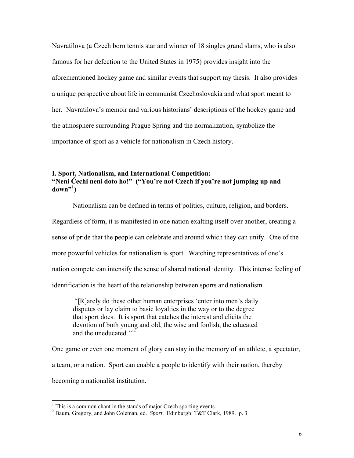Navratilova (a Czech born tennis star and winner of 18 singles grand slams, who is also famous for her defection to the United States in 1975) provides insight into the aforementioned hockey game and similar events that support my thesis. It also provides a unique perspective about life in communist Czechoslovakia and what sport meant to her. Navratilova's memoir and various historians' descriptions of the hockey game and the atmosphere surrounding Prague Spring and the normalization, symbolize the importance of sport as a vehicle for nationalism in Czech history.

# **I. Sport, Nationalism, and International Competition: "Neni Čechi neni doto ho!" ("You're not Czech if you're not jumping up and down"<sup>1</sup> )**

 Nationalism can be defined in terms of politics, culture, religion, and borders. Regardless of form, it is manifested in one nation exalting itself over another, creating a sense of pride that the people can celebrate and around which they can unify. One of the more powerful vehicles for nationalism is sport. Watching representatives of one's nation compete can intensify the sense of shared national identity. This intense feeling of identification is the heart of the relationship between sports and nationalism.

 "[R]arely do these other human enterprises 'enter into men's daily disputes or lay claim to basic loyalties in the way or to the degree that sport does. It is sport that catches the interest and elicits the devotion of both young and old, the wise and foolish, the educated and the uneducated." $\sum_{n=1}^{\infty}$ 

One game or even one moment of glory can stay in the memory of an athlete, a spectator, a team, or a nation. Sport can enable a people to identify with their nation, thereby becoming a nationalist institution.

<sup>&</sup>lt;sup>1</sup> This is a common chant in the stands of major Czech sporting events.

<sup>2</sup> Baum, Gregory, and John Coleman, ed. *Sport*. Edinburgh: T&T Clark, 1989. p. 3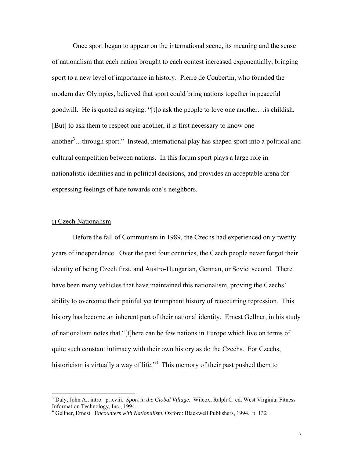Once sport began to appear on the international scene, its meaning and the sense of nationalism that each nation brought to each contest increased exponentially, bringing sport to a new level of importance in history. Pierre de Coubertin, who founded the modern day Olympics, believed that sport could bring nations together in peaceful goodwill. He is quoted as saying: "[t]o ask the people to love one another…is childish. [But] to ask them to respect one another, it is first necessary to know one another<sup>3</sup>...through sport." Instead, international play has shaped sport into a political and cultural competition between nations. In this forum sport plays a large role in nationalistic identities and in political decisions, and provides an acceptable arena for expressing feelings of hate towards one's neighbors.

#### i) Czech Nationalism

l

 Before the fall of Communism in 1989, the Czechs had experienced only twenty years of independence. Over the past four centuries, the Czech people never forgot their identity of being Czech first, and Austro-Hungarian, German, or Soviet second. There have been many vehicles that have maintained this nationalism, proving the Czechs' ability to overcome their painful yet triumphant history of reoccurring repression. This history has become an inherent part of their national identity. Ernest Gellner, in his study of nationalism notes that "[t]here can be few nations in Europe which live on terms of quite such constant intimacy with their own history as do the Czechs. For Czechs, historicism is virtually a way of life."<sup>4</sup> This memory of their past pushed them to

<sup>3</sup> Daly, John A., intro. p. xviii. *Sport in the Global Village*. Wilcox, Ralph C. ed. West Virginia: Fitness Information Technology, Inc., 1994.

<sup>4</sup> Gellner, Ernest. E*ncounters with Nationalism*. Oxford: Blackwell Publishers, 1994. p. 132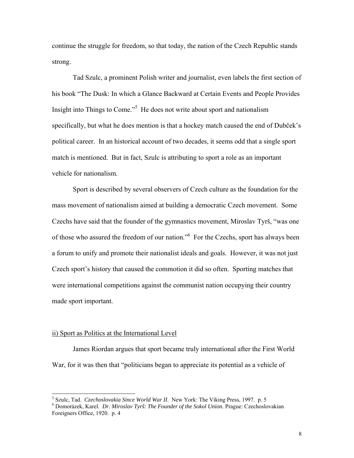continue the struggle for freedom, so that today, the nation of the Czech Republic stands strong.

Tad Szulc, a prominent Polish writer and journalist, even labels the first section of his book "The Dusk: In which a Glance Backward at Certain Events and People Provides Insight into Things to Come."<sup>5</sup> He does not write about sport and nationalism specifically, but what he does mention is that a hockey match caused the end of Dubček's political career. In an historical account of two decades, it seems odd that a single sport match is mentioned. But in fact, Szulc is attributing to sport a role as an important vehicle for nationalism.

 Sport is described by several observers of Czech culture as the foundation for the mass movement of nationalism aimed at building a democratic Czech movement. Some Czechs have said that the founder of the gymnastics movement, Miroslav Tyrš, "was one of those who assured the freedom of our nation.<sup>56</sup> For the Czechs, sport has always been a forum to unify and promote their nationalist ideals and goals. However, it was not just Czech sport's history that caused the commotion it did so often. Sporting matches that were international competitions against the communist nation occupying their country made sport important.

#### ii) Sport as Politics at the International Level

 James Riordan argues that sport became truly international after the First World War, for it was then that "politicians began to appreciate its potential as a vehicle of

<sup>&</sup>lt;sup>5</sup> Szulc, Tad. *Czechoslovakia Since World War II*. New York: The Viking Press, 1997. p. 5<br><sup>6</sup> Domorézek, Karel, Dr. Mineslav Tyrě: The Foundan of the Sokel Union, Progue: Czechoslo

Domorázek, Karel. *Dr. Miroslav Tyrš: The Founder of the Sokol Union*. Prague: Czechoslovakian Foreigners Office, 1920. p. 4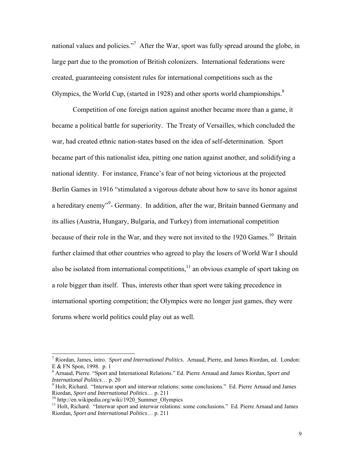national values and policies."<sup>7</sup> After the War, sport was fully spread around the globe, in large part due to the promotion of British colonizers. International federations were created, guaranteeing consistent rules for international competitions such as the Olympics, the World Cup, (started in 1928) and other sports world championships. $8$ 

Competition of one foreign nation against another became more than a game, it became a political battle for superiority. The Treaty of Versailles, which concluded the war, had created ethnic nation-states based on the idea of self-determination. Sport became part of this nationalist idea, pitting one nation against another, and solidifying a national identity. For instance, France's fear of not being victorious at the projected Berlin Games in 1916 "stimulated a vigorous debate about how to save its honor against a hereditary enemy"<sup>9</sup>- Germany. In addition, after the war, Britain banned Germany and its allies (Austria, Hungary, Bulgaria, and Turkey) from international competition because of their role in the War, and they were not invited to the 1920 Games.<sup>10</sup> Britain further claimed that other countries who agreed to play the losers of World War I should also be isolated from international competitions, $11$  an obvious example of sport taking on a role bigger than itself. Thus, interests other than sport were taking precedence in international sporting competition; the Olympics were no longer just games, they were forums where world politics could play out as well.

l

<sup>7</sup> Riordan, James, intro. *Sport and International Politics*. Arnaud, Pierre, and James Riordan, ed. London: E & FN Spon, 1998. p. 1

<sup>8</sup> Arnaud, Pierre. "Sport and International Relations." Ed. Pierre Arnaud and James Riordan, *Sport and International Politics*… p. 20

<sup>&</sup>lt;sup>9</sup> Holt, Richard. "Interwar sport and interwar relations: some conclusions." Ed. Pierre Arnaud and James Riordan, *Sport and International Politics*... p. 211

<sup>&</sup>lt;sup>10</sup> http://en.wikipedia.org/wiki/1920\_Summer\_Olympics

<sup>&</sup>lt;sup>11</sup> Holt, Richard. "Interwar sport and interwar relations: some conclusions." Ed. Pierre Arnaud and James Riordan, *Sport and International Politics*… p. 211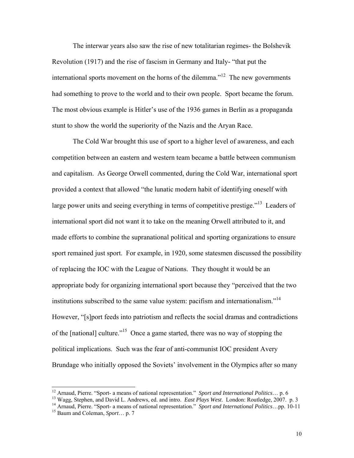The interwar years also saw the rise of new totalitarian regimes- the Bolshevik Revolution (1917) and the rise of fascism in Germany and Italy- "that put the international sports movement on the horns of the dilemma."<sup>12</sup> The new governments had something to prove to the world and to their own people. Sport became the forum. The most obvious example is Hitler's use of the 1936 games in Berlin as a propaganda stunt to show the world the superiority of the Nazis and the Aryan Race.

The Cold War brought this use of sport to a higher level of awareness, and each competition between an eastern and western team became a battle between communism and capitalism. As George Orwell commented, during the Cold War, international sport provided a context that allowed "the lunatic modern habit of identifying oneself with large power units and seeing everything in terms of competitive prestige."<sup>13</sup> Leaders of international sport did not want it to take on the meaning Orwell attributed to it, and made efforts to combine the supranational political and sporting organizations to ensure sport remained just sport. For example, in 1920, some statesmen discussed the possibility of replacing the IOC with the League of Nations. They thought it would be an appropriate body for organizing international sport because they "perceived that the two institutions subscribed to the same value system: pacifism and internationalism. $14$ However, "[s]port feeds into patriotism and reflects the social dramas and contradictions of the [national] culture."15 Once a game started, there was no way of stopping the political implications. Such was the fear of anti-communist IOC president Avery Brundage who initially opposed the Soviets' involvement in the Olympics after so many

<sup>&</sup>lt;sup>12</sup> Arnaud, Pierre. "Sport- a means of national representation." Sport and International Politics... p. 6

<sup>&</sup>lt;sup>13</sup> Wagg, Stephen, and David L. Andrews, ed. and intro. *East Plays West*. London: Routledge, 2007. p. 3<sup>14</sup> Arnaud, Pierre. "Sport-a means of national representation." *Sport and International Politics*...pp. 10-11<sup>15</sup>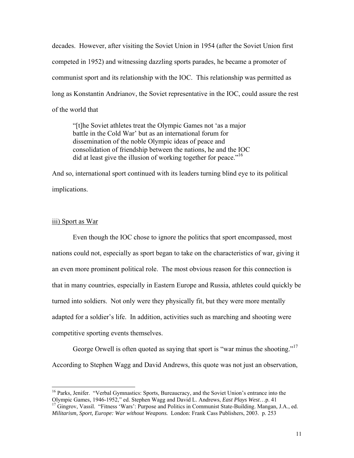decades. However, after visiting the Soviet Union in 1954 (after the Soviet Union first competed in 1952) and witnessing dazzling sports parades, he became a promoter of communist sport and its relationship with the IOC. This relationship was permitted as long as Konstantin Andrianov, the Soviet representative in the IOC, could assure the rest of the world that

"[t]he Soviet athletes treat the Olympic Games not 'as a major battle in the Cold War' but as an international forum for dissemination of the noble Olympic ideas of peace and consolidation of friendship between the nations, he and the IOC did at least give the illusion of working together for peace."<sup>16</sup>

And so, international sport continued with its leaders turning blind eye to its political implications.

#### iii) Sport as War

 $\overline{a}$ 

 Even though the IOC chose to ignore the politics that sport encompassed, most nations could not, especially as sport began to take on the characteristics of war, giving it an even more prominent political role. The most obvious reason for this connection is that in many countries, especially in Eastern Europe and Russia, athletes could quickly be turned into soldiers. Not only were they physically fit, but they were more mentally adapted for a soldier's life. In addition, activities such as marching and shooting were competitive sporting events themselves.

George Orwell is often quoted as saying that sport is "war minus the shooting."<sup>17</sup> According to Stephen Wagg and David Andrews, this quote was not just an observation,

<sup>&</sup>lt;sup>16</sup> Parks, Jenifer. "Verbal Gymnastics: Sports, Bureaucracy, and the Soviet Union's entrance into the Olympic Games, 1946-1952," ed. Stephen Wagg and David L. Andrews, *East Plays West*...p. 41

<sup>&</sup>lt;sup>17</sup> Gingrov, Vassil. "Fitness 'Wars': Purpose and Politics in Communist State-Building. Mangan, J.A., ed. *Militarism, Sport, Europe: War without Weapons.* London: Frank Cass Publishers, 2003. p. 253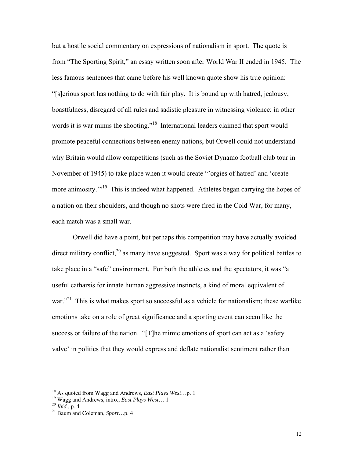but a hostile social commentary on expressions of nationalism in sport. The quote is from "The Sporting Spirit," an essay written soon after World War II ended in 1945. The less famous sentences that came before his well known quote show his true opinion: "[s]erious sport has nothing to do with fair play. It is bound up with hatred, jealousy, boastfulness, disregard of all rules and sadistic pleasure in witnessing violence: in other words it is war minus the shooting."<sup>18</sup> International leaders claimed that sport would promote peaceful connections between enemy nations, but Orwell could not understand why Britain would allow competitions (such as the Soviet Dynamo football club tour in November of 1945) to take place when it would create "'orgies of hatred' and 'create more animosity."<sup>19</sup> This is indeed what happened. Athletes began carrying the hopes of a nation on their shoulders, and though no shots were fired in the Cold War, for many, each match was a small war.

Orwell did have a point, but perhaps this competition may have actually avoided direct military conflict,  $2^{0}$  as many have suggested. Sport was a way for political battles to take place in a "safe" environment. For both the athletes and the spectators, it was "a useful catharsis for innate human aggressive instincts, a kind of moral equivalent of war."<sup>21</sup> This is what makes sport so successful as a vehicle for nationalism; these warlike emotions take on a role of great significance and a sporting event can seem like the success or failure of the nation. "[T]he mimic emotions of sport can act as a 'safety valve' in politics that they would express and deflate nationalist sentiment rather than

<sup>&</sup>lt;sup>18</sup> As quoted from Wagg and Andrews, *East Plays West*...p. 1

<sup>&</sup>lt;sup>19</sup> Wagg and Andrews, *intro., <i>East Plays West*… 1<br><sup>20</sup> *Ibid.*, p. 4<br><sup>21</sup> Baum and Coleman, *Sport*…p. 4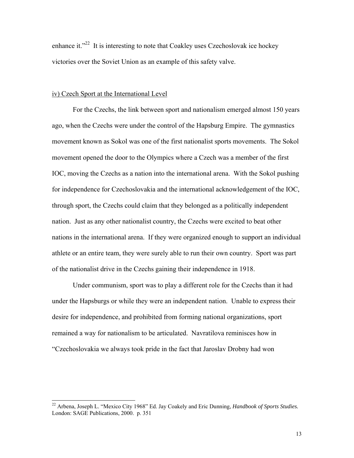enhance it."<sup>22</sup> It is interesting to note that Coakley uses Czechoslovak ice hockey victories over the Soviet Union as an example of this safety valve.

#### iv) Czech Sport at the International Level

 $\overline{a}$ 

 For the Czechs, the link between sport and nationalism emerged almost 150 years ago, when the Czechs were under the control of the Hapsburg Empire. The gymnastics movement known as Sokol was one of the first nationalist sports movements. The Sokol movement opened the door to the Olympics where a Czech was a member of the first IOC, moving the Czechs as a nation into the international arena. With the Sokol pushing for independence for Czechoslovakia and the international acknowledgement of the IOC, through sport, the Czechs could claim that they belonged as a politically independent nation. Just as any other nationalist country, the Czechs were excited to beat other nations in the international arena. If they were organized enough to support an individual athlete or an entire team, they were surely able to run their own country. Sport was part of the nationalist drive in the Czechs gaining their independence in 1918.

 Under communism, sport was to play a different role for the Czechs than it had under the Hapsburgs or while they were an independent nation. Unable to express their desire for independence, and prohibited from forming national organizations, sport remained a way for nationalism to be articulated. Navratilova reminisces how in "Czechoslovakia we always took pride in the fact that Jaroslav Drobny had won

<sup>22</sup> Arbena, Joseph L. "Mexico City 1968" Ed. Jay Coakely and Eric Dunning, *Handbook of Sports Studies.* London: SAGE Publications, 2000. p. 351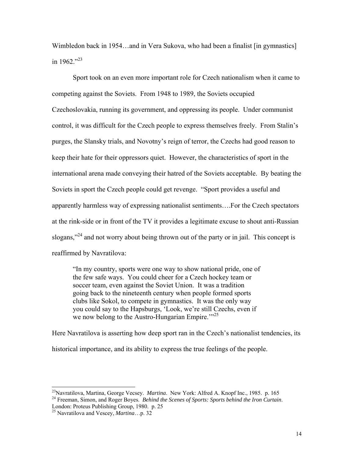Wimbledon back in 1954...and in Vera Sukova, who had been a finalist [in gymnastics] in 1962."23

Sport took on an even more important role for Czech nationalism when it came to competing against the Soviets. From 1948 to 1989, the Soviets occupied Czechoslovakia, running its government, and oppressing its people. Under communist control, it was difficult for the Czech people to express themselves freely. From Stalin's purges, the Slansky trials, and Novotny's reign of terror, the Czechs had good reason to keep their hate for their oppressors quiet. However, the characteristics of sport in the international arena made conveying their hatred of the Soviets acceptable. By beating the Soviets in sport the Czech people could get revenge. "Sport provides a useful and apparently harmless way of expressing nationalist sentiments….For the Czech spectators at the rink-side or in front of the TV it provides a legitimate excuse to shout anti-Russian slogans,"<sup>24</sup> and not worry about being thrown out of the party or in jail. This concept is reaffirmed by Navratilova:

"In my country, sports were one way to show national pride, one of the few safe ways. You could cheer for a Czech hockey team or soccer team, even against the Soviet Union. It was a tradition going back to the nineteenth century when people formed sports clubs like Sokol, to compete in gymnastics. It was the only way you could say to the Hapsburgs, 'Look, we're still Czechs, even if we now belong to the Austro-Hungarian Empire."<sup>25</sup>

Here Navratilova is asserting how deep sport ran in the Czech's nationalist tendencies, its historical importance, and its ability to express the true feelings of the people.

<sup>&</sup>lt;sup>23</sup>Navratilova, Martina, George Vecsey. *Martina*. New York: Alfred A. Knopf Inc., 1985. p. 165

<sup>&</sup>lt;sup>24</sup> Freeman, Simon, and Roger Boyes. Behind the Scenes of Sports: Sports behind the Iron Curtain.

London: Proteus Publishing Group, 1980. p. 25

<sup>25</sup> Navratilova and Vescey, *Martina*…p. 32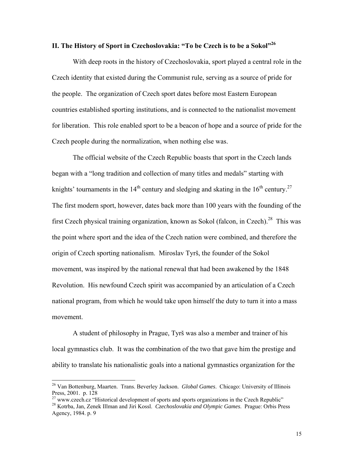# **II. The History of Sport in Czechoslovakia: "To be Czech is to be a Sokol"**

 With deep roots in the history of Czechoslovakia, sport played a central role in the Czech identity that existed during the Communist rule, serving as a source of pride for the people. The organization of Czech sport dates before most Eastern European countries established sporting institutions, and is connected to the nationalist movement for liberation. This role enabled sport to be a beacon of hope and a source of pride for the Czech people during the normalization, when nothing else was.

 The official website of the Czech Republic boasts that sport in the Czech lands began with a "long tradition and collection of many titles and medals" starting with knights' tournaments in the  $14<sup>th</sup>$  century and sledging and skating in the  $16<sup>th</sup>$  century.<sup>27</sup> The first modern sport, however, dates back more than 100 years with the founding of the first Czech physical training organization, known as Sokol (falcon, in Czech).<sup>28</sup> This was the point where sport and the idea of the Czech nation were combined, and therefore the origin of Czech sporting nationalism. Miroslav Tyrš, the founder of the Sokol movement, was inspired by the national renewal that had been awakened by the 1848 Revolution. His newfound Czech spirit was accompanied by an articulation of a Czech national program, from which he would take upon himself the duty to turn it into a mass movement.

A student of philosophy in Prague, Tyrš was also a member and trainer of his local gymnastics club. It was the combination of the two that gave him the prestige and ability to translate his nationalistic goals into a national gymnastics organization for the

<sup>26</sup> Van Bottenburg, Maarten. Trans. Beverley Jackson. *Global Games*. Chicago: University of Illinois Press, 2001. p. 128

<sup>27</sup> www.czech.cz "Historical development of sports and sports organizations in the Czech Republic" 28 Kotrba, Jan, Zenek Illman and Jiri Kossl. *Czechoslovakia and Olympic Games*. Prague: Orbis Press

Agency, 1984. p. 9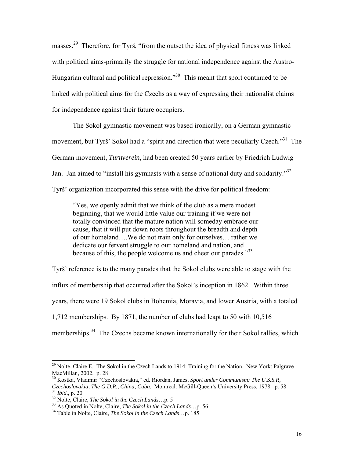masses.29 Therefore, for Tyrš, "from the outset the idea of physical fitness was linked with political aims-primarily the struggle for national independence against the Austro-Hungarian cultural and political repression."30 This meant that sport continued to be linked with political aims for the Czechs as a way of expressing their nationalist claims for independence against their future occupiers.

 The Sokol gymnastic movement was based ironically, on a German gymnastic movement, but Tyrš' Sokol had a "spirit and direction that were peculiarly Czech."<sup>31</sup> The German movement, *Turnverein*, had been created 50 years earlier by Friedrich Ludwig Jan. Jan aimed to "install his gymnasts with a sense of national duty and solidarity."<sup>32</sup> Tyrš' organization incorporated this sense with the drive for political freedom:

"Yes, we openly admit that we think of the club as a mere modest beginning, that we would little value our training if we were not totally convinced that the mature nation will someday embrace our cause, that it will put down roots throughout the breadth and depth of our homeland….We do not train only for ourselves… rather we dedicate our fervent struggle to our homeland and nation, and because of this, the people welcome us and cheer our parades."<sup>33</sup>

Tyrš' reference is to the many parades that the Sokol clubs were able to stage with the influx of membership that occurred after the Sokol's inception in 1862. Within three years, there were 19 Sokol clubs in Bohemia, Moravia, and lower Austria, with a totaled 1,712 memberships. By 1871, the number of clubs had leapt to 50 with 10,516 memberships.<sup>34</sup> The Czechs became known internationally for their Sokol rallies, which

 $^{29}$  Nolte, Claire E. The Sokol in the Czech Lands to 1914: Training for the Nation. New York: Palgrave MacMillan, 2002. p. 28

<sup>30</sup> Kostka, Vladimir "Czechoslovakia," ed. Riordan, James, *Sport under Communism: The U.S.S.R,*  Czechoslovakia, The G.D.R., China, Cuba. Montreal: McGill-Queen's University Press, 1978. p. 58<br><sup>31</sup> Ibid., p. 20<br><sup>32</sup> Nolte, Claire, *The Sokol in the Czech Lands*...p. 5<br><sup>33</sup> As Quoted in Nolte, Claire, *The Sokol in the*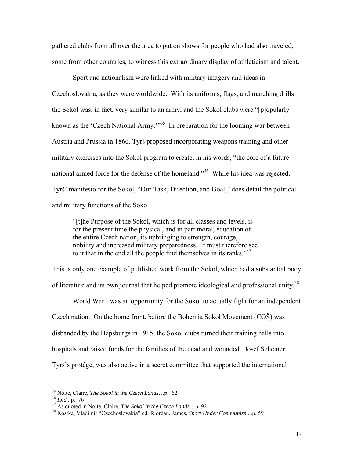gathered clubs from all over the area to put on shows for people who had also traveled, some from other countries, to witness this extraordinary display of athleticism and talent.

 Sport and nationalism were linked with military imagery and ideas in Czechoslovakia, as they were worldwide. With its uniforms, flags, and marching drills the Sokol was, in fact, very similar to an army, and the Sokol clubs were "[p]opularly known as the 'Czech National Army.'<sup>35</sup> In preparation for the looming war between Austria and Prussia in 1866, Tyrš proposed incorporating weapons training and other military exercises into the Sokol program to create, in his words, "the core of a future national armed force for the defense of the homeland."<sup>36</sup> While his idea was rejected, Tyrš' manifesto for the Sokol, "Our Task, Direction, and Goal," does detail the political and military functions of the Sokol:

"[t]he Purpose of the Sokol, which is for all classes and levels, is for the present time the physical, and in part moral, education of the entire Czech nation, its upbringing to strength, courage, nobility and increased military preparedness. It must therefore see to it that in the end all the people find themselves in its ranks. $137$ 

This is only one example of published work from the Sokol, which had a substantial body of literature and its own journal that helped promote ideological and professional unity.<sup>38</sup>

World War I was an opportunity for the Sokol to actually fight for an independent Czech nation. On the home front, before the Bohemia Sokol Movement (COŠ) was disbanded by the Hapsburgs in 1915, the Sokol clubs turned their training halls into hospitals and raised funds for the families of the dead and wounded. Josef Scheiner, Tyrš's protégé, was also active in a secret committee that supported the international

<sup>&</sup>lt;sup>35</sup> Nolte, Claire, *The Sokol in the Czech Lands...p.* 62

<sup>&</sup>lt;sup>36</sup> Ibid., p. 76<br><sup>37</sup> As quoted in Nolte, Claire, *The Sokol in the Czech Lands*...p. 92<br><sup>38</sup> Kostka, Vladimir "Czechoslovakia" ed. Riordan, James, *Sport Under Communism...*p. 59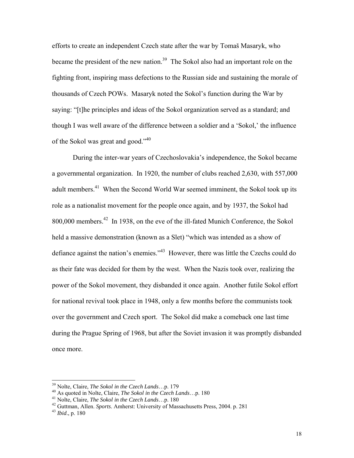efforts to create an independent Czech state after the war by Tomaš Masaryk, who became the president of the new nation.<sup>39</sup> The Sokol also had an important role on the fighting front, inspiring mass defections to the Russian side and sustaining the morale of thousands of Czech POWs. Masaryk noted the Sokol's function during the War by saying: "[t]he principles and ideas of the Sokol organization served as a standard; and though I was well aware of the difference between a soldier and a 'Sokol,' the influence of the Sokol was great and good."<sup>40</sup>

 During the inter-war years of Czechoslovakia's independence, the Sokol became a governmental organization. In 1920, the number of clubs reached 2,630, with 557,000 adult members.<sup>41</sup> When the Second World War seemed imminent, the Sokol took up its role as a nationalist movement for the people once again, and by 1937, the Sokol had 800,000 members.<sup>42</sup> In 1938, on the eve of the ill-fated Munich Conference, the Sokol held a massive demonstration (known as a Slet) "which was intended as a show of defiance against the nation's enemies."<sup>43</sup> However, there was little the Czechs could do as their fate was decided for them by the west. When the Nazis took over, realizing the power of the Sokol movement, they disbanded it once again. Another futile Sokol effort for national revival took place in 1948, only a few months before the communists took over the government and Czech sport. The Sokol did make a comeback one last time during the Prague Spring of 1968, but after the Soviet invasion it was promptly disbanded once more.

<sup>&</sup>lt;sup>39</sup> Nolte, Claire, *The Sokol in the Czech Lands*...p. 179<br><sup>40</sup> As quoted in Nolte, Claire, *The Sokol in the Czech Lands*...p. 180<br><sup>41</sup> Nolte, Claire, *The Sokol in the Czech Lands*...p. 180<br><sup>42</sup> Guttman, Allen. *Sports*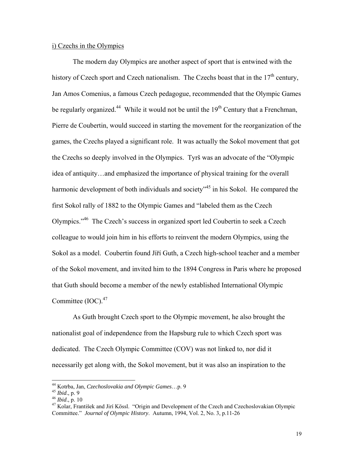#### i) Czechs in the Olympics

 The modern day Olympics are another aspect of sport that is entwined with the history of Czech sport and Czech nationalism. The Czechs boast that in the  $17<sup>th</sup>$  century. Jan Amos Comenius, a famous Czech pedagogue, recommended that the Olympic Games be regularly organized.<sup>44</sup> While it would not be until the  $19<sup>th</sup>$  Century that a Frenchman, Pierre de Coubertin, would succeed in starting the movement for the reorganization of the games, the Czechs played a significant role. It was actually the Sokol movement that got the Czechs so deeply involved in the Olympics. Tyrš was an advocate of the "Olympic idea of antiquity…and emphasized the importance of physical training for the overall harmonic development of both individuals and society<sup>-45</sup> in his Sokol. He compared the first Sokol rally of 1882 to the Olympic Games and "labeled them as the Czech Olympics."46 The Czech's success in organized sport led Coubertin to seek a Czech colleague to would join him in his efforts to reinvent the modern Olympics, using the Sokol as a model. Coubertin found Jíří Guth, a Czech high-school teacher and a member of the Sokol movement, and invited him to the 1894 Congress in Paris where he proposed that Guth should become a member of the newly established International Olympic Committee  $(IOC)<sub>47</sub>$ 

 As Guth brought Czech sport to the Olympic movement, he also brought the nationalist goal of independence from the Hapsburg rule to which Czech sport was dedicated. The Czech Olympic Committee (COV) was not linked to, nor did it necessarily get along with, the Sokol movement, but it was also an inspiration to the

<sup>44</sup> Kotrba, Jan, *Czechoslovakia and Olympic Games*...p. 9<br><sup>45</sup> *Ibid.*, p. 9<br><sup>46</sup> *Ibid.*, p. 10<br><sup>47</sup> Kolar, František and Jirí Kössl. "Origin and Development of the Czech and Czechoslovakian Olympic Committee." *Journal of Olympic History*. Autumn, 1994, Vol. 2, No. 3, p.11-26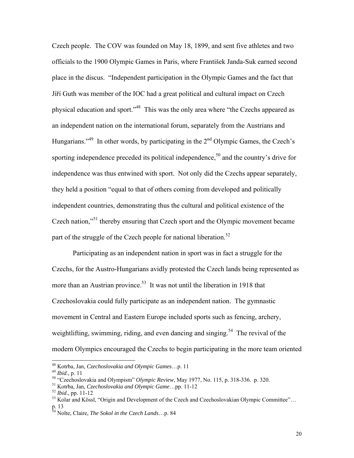Czech people. The COV was founded on May 18, 1899, and sent five athletes and two officials to the 1900 Olympic Games in Paris, where František Janda-Suk earned second place in the discus. "Independent participation in the Olympic Games and the fact that Jíří Guth was member of the IOC had a great political and cultural impact on Czech physical education and sport."48 This was the only area where "the Czechs appeared as an independent nation on the international forum, separately from the Austrians and Hungarians."<sup>49</sup> In other words, by participating in the  $2<sup>nd</sup>$  Olympic Games, the Czech's sporting independence preceded its political independence,<sup>50</sup> and the country's drive for independence was thus entwined with sport. Not only did the Czechs appear separately, they held a position "equal to that of others coming from developed and politically independent countries, demonstrating thus the cultural and political existence of the Czech nation,"<sup>51</sup> thereby ensuring that Czech sport and the Olympic movement became part of the struggle of the Czech people for national liberation.<sup>52</sup>

Participating as an independent nation in sport was in fact a struggle for the Czechs, for the Austro-Hungarians avidly protested the Czech lands being represented as more than an Austrian province.<sup>53</sup> It was not until the liberation in 1918 that Czechoslovakia could fully participate as an independent nation. The gymnastic movement in Central and Eastern Europe included sports such as fencing, archery, weightlifting, swimming, riding, and even dancing and singing.<sup>54</sup> The revival of the modern Olympics encouraged the Czechs to begin participating in the more team oriented

<sup>&</sup>lt;sup>48</sup> Kotrba, Jan, Czechoslovakia and Olympic Games...p. 11

And the Collocal state of the Collocal Street, Nay 1977, No. 115, p. 318-336. p. 320.<br>
<sup>49</sup> Ibid., p. 11<br>
<sup>50</sup> "Czechoslovakia and Olympic *Review*, May 1977, No. 115, p. 318-336. p. 320.<br>
<sup>51</sup> Kotrba, Jan, *Czechoslovakia* 

p. 13

<sup>54</sup> Nolte, Claire, *The Sokol in the Czech Lands*…p. 84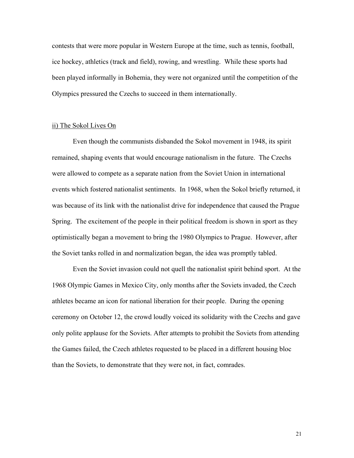contests that were more popular in Western Europe at the time, such as tennis, football, ice hockey, athletics (track and field), rowing, and wrestling. While these sports had been played informally in Bohemia, they were not organized until the competition of the Olympics pressured the Czechs to succeed in them internationally.

#### ii) The Sokol Lives On

Even though the communists disbanded the Sokol movement in 1948, its spirit remained, shaping events that would encourage nationalism in the future. The Czechs were allowed to compete as a separate nation from the Soviet Union in international events which fostered nationalist sentiments. In 1968, when the Sokol briefly returned, it was because of its link with the nationalist drive for independence that caused the Prague Spring. The excitement of the people in their political freedom is shown in sport as they optimistically began a movement to bring the 1980 Olympics to Prague. However, after the Soviet tanks rolled in and normalization began, the idea was promptly tabled.

Even the Soviet invasion could not quell the nationalist spirit behind sport. At the 1968 Olympic Games in Mexico City, only months after the Soviets invaded, the Czech athletes became an icon for national liberation for their people. During the opening ceremony on October 12, the crowd loudly voiced its solidarity with the Czechs and gave only polite applause for the Soviets. After attempts to prohibit the Soviets from attending the Games failed, the Czech athletes requested to be placed in a different housing bloc than the Soviets, to demonstrate that they were not, in fact, comrades.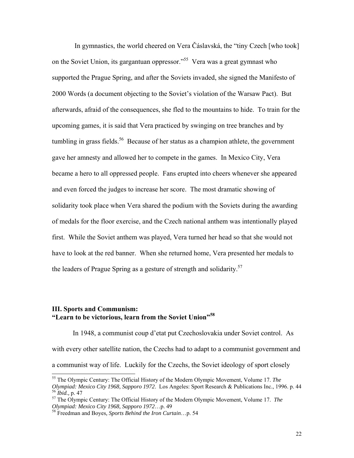In gymnastics, the world cheered on Vera Čáslavská, the "tiny Czech [who took] on the Soviet Union, its gargantuan oppressor."<sup>55</sup> Vera was a great gymnast who supported the Prague Spring, and after the Soviets invaded, she signed the Manifesto of 2000 Words (a document objecting to the Soviet's violation of the Warsaw Pact). But afterwards, afraid of the consequences, she fled to the mountains to hide. To train for the upcoming games, it is said that Vera practiced by swinging on tree branches and by tumbling in grass fields.<sup>56</sup> Because of her status as a champion athlete, the government gave her amnesty and allowed her to compete in the games. In Mexico City, Vera became a hero to all oppressed people. Fans erupted into cheers whenever she appeared and even forced the judges to increase her score. The most dramatic showing of solidarity took place when Vera shared the podium with the Soviets during the awarding of medals for the floor exercise, and the Czech national anthem was intentionally played first. While the Soviet anthem was played, Vera turned her head so that she would not have to look at the red banner. When she returned home, Vera presented her medals to the leaders of Prague Spring as a gesture of strength and solidarity.<sup>57</sup>

# **III. Sports and Communism: "Learn to be victorious, learn from the Soviet Union"<sup>58</sup>**

In 1948, a communist coup d'etat put Czechoslovakia under Soviet control. As with every other satellite nation, the Czechs had to adapt to a communist government and a communist way of life. Luckily for the Czechs, the Soviet ideology of sport closely

l

<sup>55</sup> The Olympic Century: The Official History of the Modern Olympic Movement, Volume 17. *The*  Olympiad: Mexico City 1968, Sapporo 1972. Los Angeles: Sport Research & Publications Inc., 1996. p. 44<br><sup>56</sup> Ibid., p. 47<br><sup>57</sup> The Olympic Century: The Official History of the Modern Olympic Movement, Volume 17. *The Olympi* 

<sup>&</sup>lt;sup>58</sup> Freedman and Boyes, Sports Behind the Iron Curtain...p. 54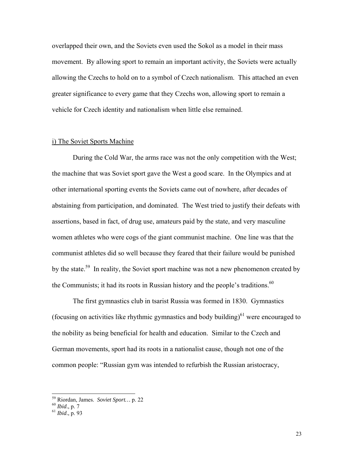overlapped their own, and the Soviets even used the Sokol as a model in their mass movement. By allowing sport to remain an important activity, the Soviets were actually allowing the Czechs to hold on to a symbol of Czech nationalism. This attached an even greater significance to every game that they Czechs won, allowing sport to remain a vehicle for Czech identity and nationalism when little else remained.

#### i) The Soviet Sports Machine

During the Cold War, the arms race was not the only competition with the West; the machine that was Soviet sport gave the West a good scare. In the Olympics and at other international sporting events the Soviets came out of nowhere, after decades of abstaining from participation, and dominated. The West tried to justify their defeats with assertions, based in fact, of drug use, amateurs paid by the state, and very masculine women athletes who were cogs of the giant communist machine. One line was that the communist athletes did so well because they feared that their failure would be punished by the state.<sup>59</sup> In reality, the Soviet sport machine was not a new phenomenon created by the Communists; it had its roots in Russian history and the people's traditions.<sup>60</sup>

The first gymnastics club in tsarist Russia was formed in 1830. Gymnastics (focusing on activities like rhythmic gymnastics and body building)<sup>61</sup> were encouraged to the nobility as being beneficial for health and education. Similar to the Czech and German movements, sport had its roots in a nationalist cause, though not one of the common people: "Russian gym was intended to refurbish the Russian aristocracy,

l

<sup>&</sup>lt;sup>59</sup> Riordan, James. *Soviet Sport*... p. 22<br><sup>60</sup> *Ibid.*, p. 7<br><sup>61</sup> *Ibid.*, p. 93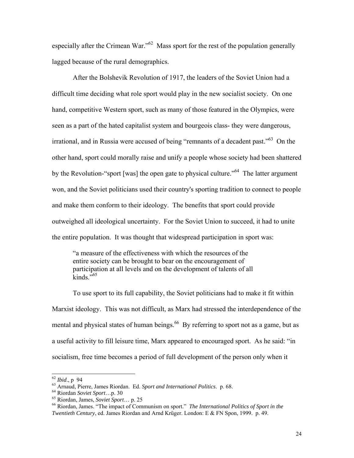especially after the Crimean War."<sup>62</sup> Mass sport for the rest of the population generally lagged because of the rural demographics.

After the Bolshevik Revolution of 1917, the leaders of the Soviet Union had a difficult time deciding what role sport would play in the new socialist society. On one hand, competitive Western sport, such as many of those featured in the Olympics, were seen as a part of the hated capitalist system and bourgeois class- they were dangerous, irrational, and in Russia were accused of being "remnants of a decadent past." $63$  On the other hand, sport could morally raise and unify a people whose society had been shattered by the Revolution-"sport [was] the open gate to physical culture."<sup>64</sup> The latter argument won, and the Soviet politicians used their country's sporting tradition to connect to people and make them conform to their ideology. The benefits that sport could provide outweighed all ideological uncertainty. For the Soviet Union to succeed, it had to unite the entire population. It was thought that widespread participation in sport was:

"a measure of the effectiveness with which the resources of the entire society can be brought to bear on the encouragement of participation at all levels and on the development of talents of all  $k$ inds<sup> $,565$ </sup>

To use sport to its full capability, the Soviet politicians had to make it fit within Marxist ideology. This was not difficult, as Marx had stressed the interdependence of the mental and physical states of human beings.<sup>66</sup> By referring to sport not as a game, but as a useful activity to fill leisure time, Marx appeared to encouraged sport. As he said: "in socialism, free time becomes a period of full development of the person only when it

 $62$  *Ibid.*, p 94

<sup>&</sup>lt;sup>63</sup> Arnaud, Pierre, James Riordan. Ed. *Sport and International Politics*. p. 68.<br><sup>64</sup> Riordan *Soviet Sport*...p. 30<br><sup>65</sup> Riordan, James, *Soviet Sport*... p. 25<br><sup>66</sup> Riordan, James. "The impact of Communism on sport." *Twentieth Century*, ed. James Riordan and Arnd Krüger. London: E & FN Spon, 1999. p. 49.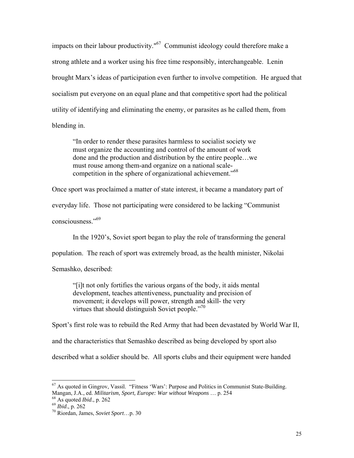impacts on their labour productivity." $67$  Communist ideology could therefore make a strong athlete and a worker using his free time responsibly, interchangeable. Lenin brought Marx's ideas of participation even further to involve competition. He argued that socialism put everyone on an equal plane and that competitive sport had the political utility of identifying and eliminating the enemy, or parasites as he called them, from blending in.

"In order to render these parasites harmless to socialist society we must organize the accounting and control of the amount of work done and the production and distribution by the entire people…we must rouse among them-and organize on a national scalecompetition in the sphere of organizational achievement."68

Once sport was proclaimed a matter of state interest, it became a mandatory part of

everyday life. Those not participating were considered to be lacking "Communist

consciousness."69

In the 1920's, Soviet sport began to play the role of transforming the general

population. The reach of sport was extremely broad, as the health minister, Nikolai

Semashko, described:

"[i]t not only fortifies the various organs of the body, it aids mental development, teaches attentiveness, punctuality and precision of movement; it develops will power, strength and skill- the very virtues that should distinguish Soviet people."<sup>70</sup>

Sport's first role was to rebuild the Red Army that had been devastated by World War II,

and the characteristics that Semashko described as being developed by sport also

described what a soldier should be. All sports clubs and their equipment were handed

 $67$  As quoted in Gingrov, Vassil. "Fitness 'Wars': Purpose and Politics in Communist State-Building. Mangan, J.A., ed. *Militarism, Sport, Europe: War without Weapons* ... p. 254 <sup>68</sup> As quoted *Ibid.*, p. 262 *Po Riordan, James, <i>Soviet Sport*...p. 30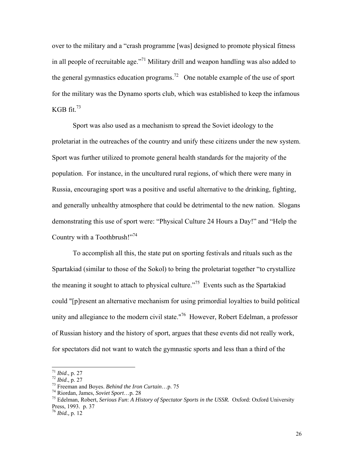over to the military and a "crash programme [was] designed to promote physical fitness in all people of recruitable age."<sup>71</sup> Military drill and weapon handling was also added to the general gymnastics education programs.<sup>72</sup> One notable example of the use of sport for the military was the Dynamo sports club, which was established to keep the infamous KGB fit. $73$ 

Sport was also used as a mechanism to spread the Soviet ideology to the proletariat in the outreaches of the country and unify these citizens under the new system. Sport was further utilized to promote general health standards for the majority of the population. For instance, in the uncultured rural regions, of which there were many in Russia, encouraging sport was a positive and useful alternative to the drinking, fighting, and generally unhealthy atmosphere that could be detrimental to the new nation. Slogans demonstrating this use of sport were: "Physical Culture 24 Hours a Day!" and "Help the Country with a Toothbrush!"<sup>74</sup>

To accomplish all this, the state put on sporting festivals and rituals such as the Spartakiad (similar to those of the Sokol) to bring the proletariat together "to crystallize the meaning it sought to attach to physical culture.<sup> $275$ </sup> Events such as the Spartakiad could "[p]resent an alternative mechanism for using primordial loyalties to build political unity and allegiance to the modern civil state."<sup>76</sup> However, Robert Edelman, a professor of Russian history and the history of sport, argues that these events did not really work, for spectators did not want to watch the gymnastic sports and less than a third of the

 $171$  *Ibid.*, p. 27

<sup>&</sup>lt;sup>72</sup> Ibid., p. 27<br><sup>73</sup> Freeman and Boyes. *Behind the Iron Curtain*...p. 75<br><sup>74</sup> Riordan, James, *Soviet Sport...p.* 28<br><sup>75</sup> Edelman, Robert, *Serious Fun: A History of Spectator Sports in the USSR.* Oxford: Oxford Univer Press, 1993. p. 37

<sup>76</sup> *Ibid.,* p. 12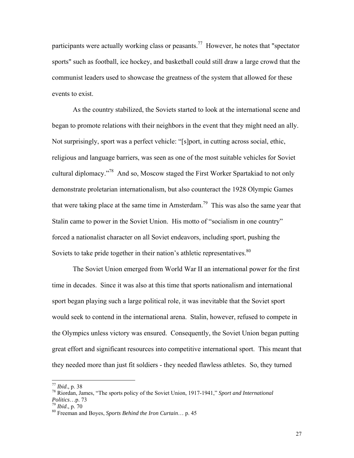participants were actually working class or peasants.<sup>77</sup> However, he notes that "spectator sports" such as football, ice hockey, and basketball could still draw a large crowd that the communist leaders used to showcase the greatness of the system that allowed for these events to exist.

As the country stabilized, the Soviets started to look at the international scene and began to promote relations with their neighbors in the event that they might need an ally. Not surprisingly, sport was a perfect vehicle: "[s]port, in cutting across social, ethic, religious and language barriers, was seen as one of the most suitable vehicles for Soviet cultural diplomacy."78 And so, Moscow staged the First Worker Spartakiad to not only demonstrate proletarian internationalism, but also counteract the 1928 Olympic Games that were taking place at the same time in Amsterdam.<sup>79</sup> This was also the same year that Stalin came to power in the Soviet Union. His motto of "socialism in one country" forced a nationalist character on all Soviet endeavors, including sport, pushing the Soviets to take pride together in their nation's athletic representatives.<sup>80</sup>

The Soviet Union emerged from World War II an international power for the first time in decades. Since it was also at this time that sports nationalism and international sport began playing such a large political role, it was inevitable that the Soviet sport would seek to contend in the international arena. Stalin, however, refused to compete in the Olympics unless victory was ensured. Consequently, the Soviet Union began putting great effort and significant resources into competitive international sport. This meant that they needed more than just fit soldiers - they needed flawless athletes. So, they turned

 $^{77}$  Ibid., p. 38

<sup>&</sup>lt;sup>78</sup> Riordan, James, "The sports policy of the Soviet Union, 1917-1941," *Sport and International Politics*...p. 73

<sup>&</sup>lt;sup>79</sup> *Ibid.*, p. 70<br><sup>80</sup> Freeman and Boyes, *Sports Behind the Iron Curtain*… p. 45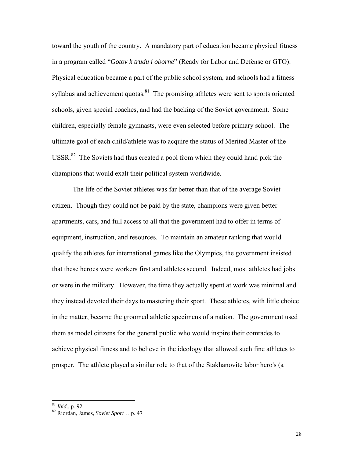toward the youth of the country. A mandatory part of education became physical fitness in a program called "*Gotov k trudu i oborne*" (Ready for Labor and Defense or GTO). Physical education became a part of the public school system, and schools had a fitness syllabus and achievement quotas.<sup>81</sup> The promising athletes were sent to sports oriented schools, given special coaches, and had the backing of the Soviet government. Some children, especially female gymnasts, were even selected before primary school. The ultimate goal of each child/athlete was to acquire the status of Merited Master of the USSR. $82$  The Soviets had thus created a pool from which they could hand pick the champions that would exalt their political system worldwide.

The life of the Soviet athletes was far better than that of the average Soviet citizen. Though they could not be paid by the state, champions were given better apartments, cars, and full access to all that the government had to offer in terms of equipment, instruction, and resources. To maintain an amateur ranking that would qualify the athletes for international games like the Olympics, the government insisted that these heroes were workers first and athletes second. Indeed, most athletes had jobs or were in the military. However, the time they actually spent at work was minimal and they instead devoted their days to mastering their sport. These athletes, with little choice in the matter, became the groomed athletic specimens of a nation. The government used them as model citizens for the general public who would inspire their comrades to achieve physical fitness and to believe in the ideology that allowed such fine athletes to prosper. The athlete played a similar role to that of the Stakhanovite labor hero's (a

 $81$  *Ibid.*, p. 92

<sup>81</sup> *Ibid*., p. 92 82 Riordan, James, *Soviet Sport* …p. 47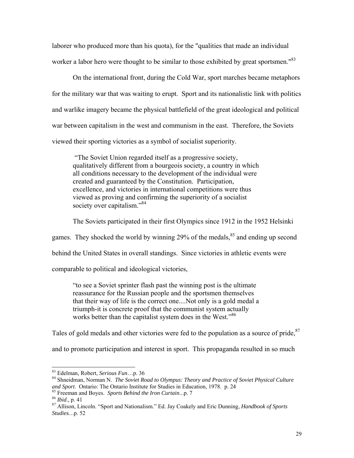laborer who produced more than his quota), for the "qualities that made an individual worker a labor hero were thought to be similar to those exhibited by great sportsmen."<sup>83</sup>

On the international front, during the Cold War, sport marches became metaphors for the military war that was waiting to erupt. Sport and its nationalistic link with politics and warlike imagery became the physical battlefield of the great ideological and political war between capitalism in the west and communism in the east. Therefore, the Soviets viewed their sporting victories as a symbol of socialist superiority.

 "The Soviet Union regarded itself as a progressive society, qualitatively different from a bourgeois society, a country in which all conditions necessary to the development of the individual were created and guaranteed by the Constitution. Participation, excellence, and victories in international competitions were thus viewed as proving and confirming the superiority of a socialist society over capitalism."<sup>84</sup>

The Soviets participated in their first Olympics since 1912 in the 1952 Helsinki

games. They shocked the world by winning  $29\%$  of the medals,  $85$  and ending up second

behind the United States in overall standings. Since victories in athletic events were

comparable to political and ideological victories,

"to see a Soviet sprinter flash past the winning post is the ultimate reassurance for the Russian people and the sportsmen themselves that their way of life is the correct one....Not only is a gold medal a triumph-it is concrete proof that the communist system actually works better than the capitalist system does in the West."<sup>86</sup>

Tales of gold medals and other victories were fed to the population as a source of pride.<sup>87</sup>

and to promote participation and interest in sport. This propaganda resulted in so much

<sup>&</sup>lt;sup>83</sup> Edelman, Robert, Serious Fun...p. 36

<sup>&</sup>lt;sup>84</sup> Shneidman, Norman N. *The Soviet Road to Olympus: Theory and Practice of Soviet Physical Culture and Sport. Ontario: The Ontario Institute for Studies in Education, 1978. p. 24* 

<sup>&</sup>lt;sup>85</sup> Freeman and Boyes. *Sports Behind the Iron Curtain*...p. 7<br><sup>86</sup> *Ibid.*, p. 41<br><sup>87</sup> Allison, Lincoln. "Sport and Nationalism." Ed. Jay Coakely and Eric Dunning, *Handbook of Sports Studies…*p. 52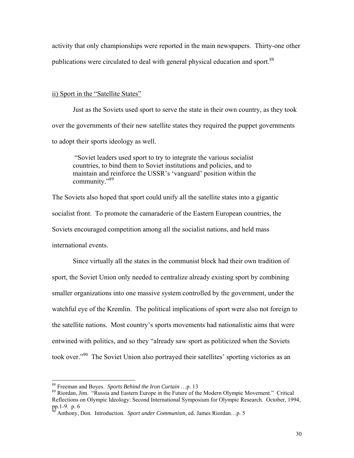activity that only championships were reported in the main newspapers. Thirty-one other publications were circulated to deal with general physical education and sport.<sup>88</sup>

#### ii) Sport in the "Satellite States"

Just as the Soviets used sport to serve the state in their own country, as they took over the governments of their new satellite states they required the puppet governments to adopt their sports ideology as well.

 "Soviet leaders used sport to try to integrate the various socialist countries, to bind them to Soviet institutions and policies, and to maintain and reinforce the USSR's 'vanguard' position within the community."89

The Soviets also hoped that sport could unify all the satellite states into a gigantic socialist front. To promote the camaraderie of the Eastern European countries, the Soviets encouraged competition among all the socialist nations, and held mass international events.

Since virtually all the states in the communist block had their own tradition of sport, the Soviet Union only needed to centralize already existing sport by combining smaller organizations into one massive system controlled by the government, under the watchful eye of the Kremlin. The political implications of sport were also not foreign to the satellite nations. Most country's sports movements had nationalistic aims that were entwined with politics, and so they "already saw sport as politicized when the Soviets took over."90 The Soviet Union also portrayed their satellites' sporting victories as an

<sup>&</sup>lt;sup>88</sup> Freeman and Boyes. Sports Behind the Iron Curtain ...p. 13

<sup>&</sup>lt;sup>89</sup> Riordan, Jim. "Russia and Eastern Europe in the Future of the Modern Olympic Movement." Critical Reflections on Olympic Ideology: Second International Symposium for Olympic Research. October, 1994, pp.1-9. p. 6

<sup>90</sup> Anthony, Don. Introduction. *Sport under Communism,* ed. James Riordan…p. 5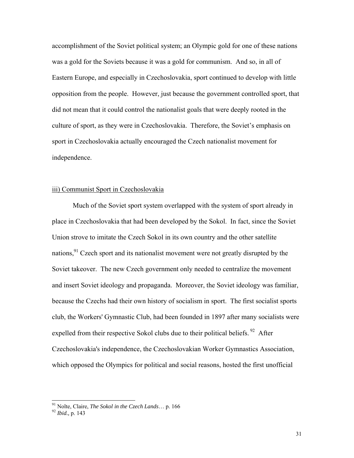accomplishment of the Soviet political system; an Olympic gold for one of these nations was a gold for the Soviets because it was a gold for communism. And so, in all of Eastern Europe, and especially in Czechoslovakia, sport continued to develop with little opposition from the people. However, just because the government controlled sport, that did not mean that it could control the nationalist goals that were deeply rooted in the culture of sport, as they were in Czechoslovakia. Therefore, the Soviet's emphasis on sport in Czechoslovakia actually encouraged the Czech nationalist movement for independence.

# iii) Communist Sport in Czechoslovakia

Much of the Soviet sport system overlapped with the system of sport already in place in Czechoslovakia that had been developed by the Sokol. In fact, since the Soviet Union strove to imitate the Czech Sokol in its own country and the other satellite nations,  $91$  Czech sport and its nationalist movement were not greatly disrupted by the Soviet takeover. The new Czech government only needed to centralize the movement and insert Soviet ideology and propaganda. Moreover, the Soviet ideology was familiar, because the Czechs had their own history of socialism in sport. The first socialist sports club, the Workers' Gymnastic Club, had been founded in 1897 after many socialists were expelled from their respective Sokol clubs due to their political beliefs.<sup>92</sup> After Czechoslovakia's independence, the Czechoslovakian Worker Gymnastics Association, which opposed the Olympics for political and social reasons, hosted the first unofficial

<sup>&</sup>lt;sup>91</sup> Nolte, Claire, *The Sokol in the Czech Lands*... p. 166<br><sup>92</sup> *Ibid.*, p. 143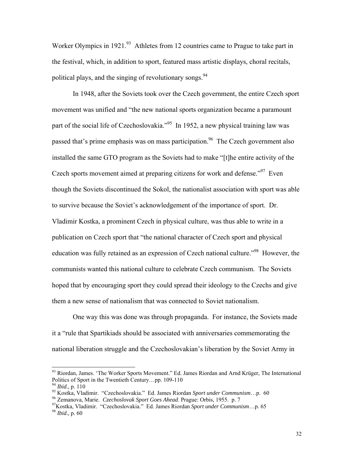Worker Olympics in 1921.<sup>93</sup> Athletes from 12 countries came to Prague to take part in the festival, which, in addition to sport, featured mass artistic displays, choral recitals, political plays, and the singing of revolutionary songs.  $94$ 

In 1948, after the Soviets took over the Czech government, the entire Czech sport movement was unified and "the new national sports organization became a paramount part of the social life of Czechoslovakia."<sup>95</sup> In 1952, a new physical training law was passed that's prime emphasis was on mass participation.<sup>96</sup> The Czech government also installed the same GTO program as the Soviets had to make "[t]he entire activity of the Czech sports movement aimed at preparing citizens for work and defense.<sup> $97$ </sup> Even though the Soviets discontinued the Sokol, the nationalist association with sport was able to survive because the Soviet's acknowledgement of the importance of sport. Dr. Vladimir Kostka, a prominent Czech in physical culture, was thus able to write in a publication on Czech sport that "the national character of Czech sport and physical education was fully retained as an expression of Czech national culture.<sup>"98</sup> However, the communists wanted this national culture to celebrate Czech communism. The Soviets hoped that by encouraging sport they could spread their ideology to the Czechs and give them a new sense of nationalism that was connected to Soviet nationalism.

One way this was done was through propaganda. For instance, the Soviets made it a "rule that Spartikiads should be associated with anniversaries commemorating the national liberation struggle and the Czechoslovakian's liberation by the Soviet Army in

<sup>&</sup>lt;sup>93</sup> Riordan, James. 'The Worker Sports Movement.'' Ed. James Riordan and Arnd Krüger, The International Politics of Sport in the Twentieth Century...pp. 109-110<br><sup>94</sup> *Ibid.*, p. 110

<sup>&</sup>lt;sup>95</sup> Kostka, Vladimir. "Czechoslovakia." Ed. James Riordan Sport under Communism...p. 60<br><sup>96</sup> Zemanova, Marie. *Czechoslovak Sport Goes Ahead*. Prague: Orbis, 1955. p. 7<br><sup>97</sup> Kostka, Vladimir. "Czechoslovakia." Ed. James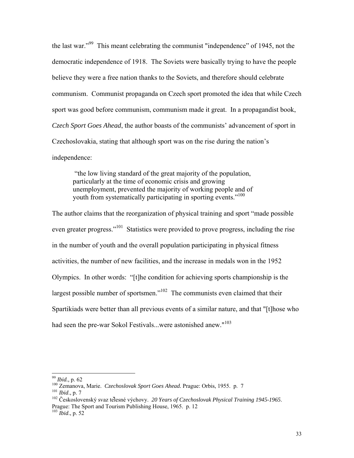the last war."99 This meant celebrating the communist "independence" of 1945, not the democratic independence of 1918. The Soviets were basically trying to have the people believe they were a free nation thanks to the Soviets, and therefore should celebrate communism. Communist propaganda on Czech sport promoted the idea that while Czech sport was good before communism, communism made it great. In a propagandist book, *Czech Sport Goes Ahead*, the author boasts of the communists' advancement of sport in Czechoslovakia, stating that although sport was on the rise during the nation's independence:

 "the low living standard of the great majority of the population, particularly at the time of economic crisis and growing unemployment, prevented the majority of working people and of youth from systematically participating in sporting events."<sup>100</sup>

The author claims that the reorganization of physical training and sport "made possible even greater progress."<sup>101</sup> Statistics were provided to prove progress, including the rise in the number of youth and the overall population participating in physical fitness activities, the number of new facilities, and the increase in medals won in the 1952 Olympics. In other words: "[t]he condition for achieving sports championship is the largest possible number of sportsmen."<sup>102</sup> The communists even claimed that their Spartikiads were better than all previous events of a similar nature, and that "[t]hose who had seen the pre-war Sokol Festivals...were astonished anew."<sup>103</sup>

 $99$  *Ibid.*, p. 62

<sup>&</sup>lt;sup>100</sup> Zemanova, Marie. *Czechoslovak Sport Goes Ahead*. Prague: Orbis, 1955. p. 7<br><sup>101</sup> Ibid., p. 7<br><sup>102</sup> Československý svaz tělesné výchovy. *20 Years of Czechoslovak Physical Training 1945-1965*.

Prague: The Sport and Tourism Publishing House, 1965. p. 12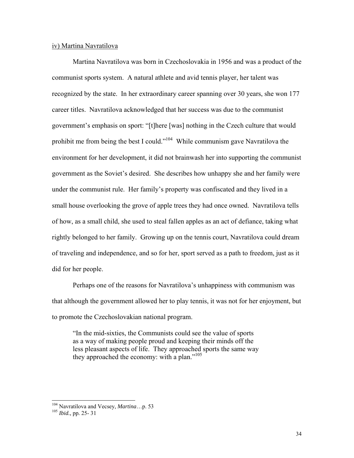#### iv) Martina Navratilova

Martina Navratilova was born in Czechoslovakia in 1956 and was a product of the communist sports system. A natural athlete and avid tennis player, her talent was recognized by the state. In her extraordinary career spanning over 30 years, she won 177 career titles. Navratilova acknowledged that her success was due to the communist government's emphasis on sport: "[t]here [was] nothing in the Czech culture that would prohibit me from being the best I could."104 While communism gave Navratilova the environment for her development, it did not brainwash her into supporting the communist government as the Soviet's desired. She describes how unhappy she and her family were under the communist rule. Her family's property was confiscated and they lived in a small house overlooking the grove of apple trees they had once owned. Navratilova tells of how, as a small child, she used to steal fallen apples as an act of defiance, taking what rightly belonged to her family. Growing up on the tennis court, Navratilova could dream of traveling and independence, and so for her, sport served as a path to freedom, just as it did for her people.

Perhaps one of the reasons for Navratilova's unhappiness with communism was that although the government allowed her to play tennis, it was not for her enjoyment, but to promote the Czechoslovakian national program.

"In the mid-sixties, the Communists could see the value of sports as a way of making people proud and keeping their minds off the less pleasant aspects of life. They approached sports the same way they approached the economy: with a plan."105

<sup>&</sup>lt;sup>104</sup> Navratilova and Vecsey, *Martina*...p. 53<br><sup>105</sup> *Ibid.*, pp. 25- 31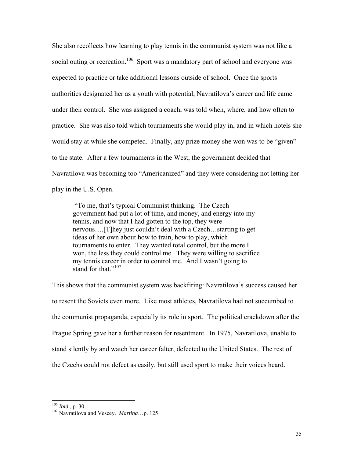She also recollects how learning to play tennis in the communist system was not like a social outing or recreation.<sup>106</sup> Sport was a mandatory part of school and everyone was expected to practice or take additional lessons outside of school. Once the sports authorities designated her as a youth with potential, Navratilova's career and life came under their control. She was assigned a coach, was told when, where, and how often to practice. She was also told which tournaments she would play in, and in which hotels she would stay at while she competed. Finally, any prize money she won was to be "given" to the state. After a few tournaments in the West, the government decided that Navratilova was becoming too "Americanized" and they were considering not letting her play in the U.S. Open.

 "To me, that's typical Communist thinking. The Czech government had put a lot of time, and money, and energy into my tennis, and now that I had gotten to the top, they were nervous….[T]hey just couldn't deal with a Czech…starting to get ideas of her own about how to train, how to play, which tournaments to enter. They wanted total control, but the more I won, the less they could control me. They were willing to sacrifice my tennis career in order to control me. And I wasn't going to stand for that "107

This shows that the communist system was backfiring: Navratilova's success caused her to resent the Soviets even more. Like most athletes, Navratilova had not succumbed to the communist propaganda, especially its role in sport. The political crackdown after the Prague Spring gave her a further reason for resentment. In 1975, Navratilova, unable to stand silently by and watch her career falter, defected to the United States. The rest of the Czechs could not defect as easily, but still used sport to make their voices heard.

 $106$  *Ibid.*, p. 30

<sup>&</sup>lt;sup>107</sup> Navratilova and Vescey. *Martina*...p. 125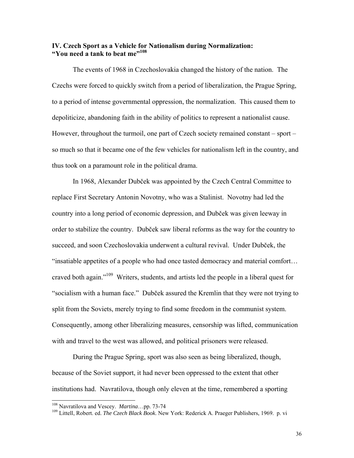# **IV. Czech Sport as a Vehicle for Nationalism during Normalization: "You need a tank to beat me"**<sup>108</sup>

 The events of 1968 in Czechoslovakia changed the history of the nation. The Czechs were forced to quickly switch from a period of liberalization, the Prague Spring, to a period of intense governmental oppression, the normalization. This caused them to depoliticize, abandoning faith in the ability of politics to represent a nationalist cause. However, throughout the turmoil, one part of Czech society remained constant – sport – so much so that it became one of the few vehicles for nationalism left in the country, and thus took on a paramount role in the political drama.

In 1968, Alexander Dubček was appointed by the Czech Central Committee to replace First Secretary Antonin Novotny, who was a Stalinist. Novotny had led the country into a long period of economic depression, and Dubček was given leeway in order to stabilize the country. Dubček saw liberal reforms as the way for the country to succeed, and soon Czechoslovakia underwent a cultural revival. Under Dubček, the "insatiable appetites of a people who had once tasted democracy and material comfort… craved both again."109 Writers, students, and artists led the people in a liberal quest for "socialism with a human face." Dubček assured the Kremlin that they were not trying to split from the Soviets, merely trying to find some freedom in the communist system. Consequently, among other liberalizing measures, censorship was lifted, communication with and travel to the west was allowed, and political prisoners were released.

 During the Prague Spring, sport was also seen as being liberalized, though, because of the Soviet support, it had never been oppressed to the extent that other institutions had. Navratilova, though only eleven at the time, remembered a sporting

<sup>&</sup>lt;sup>108</sup> Navratilova and Vescey. Martina...pp. 73-74

<sup>&</sup>lt;sup>109</sup> Littell, Robert. ed. *The Czech Black Book*. New York: Rederick A. Praeger Publishers, 1969. p. vi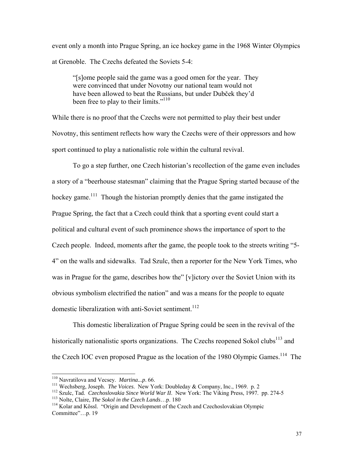event only a month into Prague Spring, an ice hockey game in the 1968 Winter Olympics at Grenoble. The Czechs defeated the Soviets 5-4:

"[s]ome people said the game was a good omen for the year. They were convinced that under Novotny our national team would not have been allowed to beat the Russians, but under Dubček they'd been free to play to their limits."<sup>110</sup>

While there is no proof that the Czechs were not permitted to play their best under Novotny, this sentiment reflects how wary the Czechs were of their oppressors and how sport continued to play a nationalistic role within the cultural revival.

To go a step further, one Czech historian's recollection of the game even includes a story of a "beerhouse statesman" claiming that the Prague Spring started because of the hockey game.<sup>111</sup> Though the historian promptly denies that the game instigated the Prague Spring, the fact that a Czech could think that a sporting event could start a political and cultural event of such prominence shows the importance of sport to the Czech people. Indeed, moments after the game, the people took to the streets writing "5- 4" on the walls and sidewalks. Tad Szulc, then a reporter for the New York Times, who was in Prague for the game, describes how the" [v]ictory over the Soviet Union with its obvious symbolism electrified the nation" and was a means for the people to equate domestic liberalization with anti-Soviet sentiment.<sup>112</sup>

This domestic liberalization of Prague Spring could be seen in the revival of the historically nationalistic sports organizations. The Czechs reopened Sokol clubs<sup>113</sup> and the Czech IOC even proposed Prague as the location of the 1980 Olympic Games.<sup>114</sup> The

<sup>&</sup>lt;sup>110</sup> Navratilova and Vecsey. Martina...p. 66.

<sup>&</sup>lt;sup>111</sup> Wechsberg, Joseph. *The Voices*. New York: Doubleday & Company, Inc., 1969. p. 2<br><sup>112</sup> Szulc, Tad. *Czechoslovakia Since World War II*. New York: The Viking Press, 1997. pp. 274-5<br><sup>113</sup> Nolte, Claire, *The Sokol in* 

Committee"…p. 19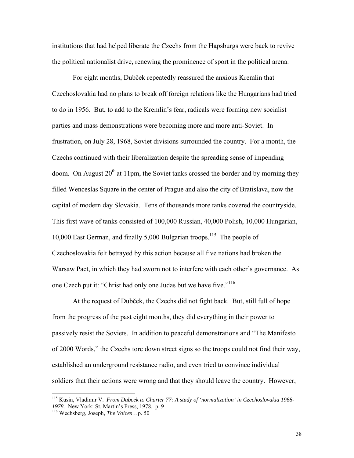institutions that had helped liberate the Czechs from the Hapsburgs were back to revive the political nationalist drive, renewing the prominence of sport in the political arena.

 For eight months, Dubček repeatedly reassured the anxious Kremlin that Czechoslovakia had no plans to break off foreign relations like the Hungarians had tried to do in 1956. But, to add to the Kremlin's fear, radicals were forming new socialist parties and mass demonstrations were becoming more and more anti-Soviet. In frustration, on July 28, 1968, Soviet divisions surrounded the country. For a month, the Czechs continued with their liberalization despite the spreading sense of impending doom. On August  $20<sup>th</sup>$  at 11pm, the Soviet tanks crossed the border and by morning they filled Wenceslas Square in the center of Prague and also the city of Bratislava, now the capital of modern day Slovakia. Tens of thousands more tanks covered the countryside. This first wave of tanks consisted of 100,000 Russian, 40,000 Polish, 10,000 Hungarian, 10,000 East German, and finally 5,000 Bulgarian troops.115 The people of Czechoslovakia felt betrayed by this action because all five nations had broken the Warsaw Pact, in which they had sworn not to interfere with each other's governance. As one Czech put it: "Christ had only one Judas but we have five."<sup>116</sup>

 At the request of Dubček, the Czechs did not fight back. But, still full of hope from the progress of the past eight months, they did everything in their power to passively resist the Soviets. In addition to peaceful demonstrations and "The Manifesto of 2000 Words," the Czechs tore down street signs so the troops could not find their way, established an underground resistance radio, and even tried to convince individual soldiers that their actions were wrong and that they should leave the country. However,

l

<sup>115</sup> Kusin, Vladimir V. *From Dubcek to Charter 77: A study of 'normalization' in Czechoslovakia 1968- 1978.* New York: St. Martin's Press, 1978. p. 9 116 Wechsberg, Joseph, *The Voices*…p. 50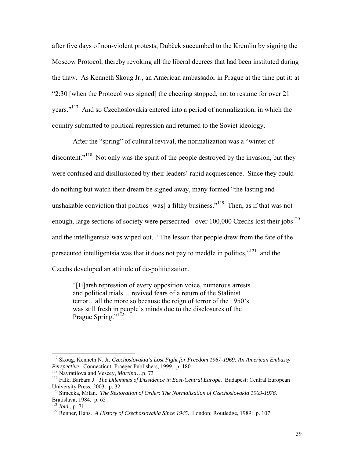after five days of non-violent protests, Dubček succumbed to the Kremlin by signing the Moscow Protocol, thereby revoking all the liberal decrees that had been instituted during the thaw. As Kenneth Skoug Jr., an American ambassador in Prague at the time put it: at "2:30 [when the Protocol was signed] the cheering stopped, not to resume for over 21 years."117 And so Czechoslovakia entered into a period of normalization, in which the country submitted to political repression and returned to the Soviet ideology.

 After the "spring" of cultural revival, the normalization was a "winter of discontent.<sup>"118</sup> Not only was the spirit of the people destroyed by the invasion, but they were confused and disillusioned by their leaders' rapid acquiescence. Since they could do nothing but watch their dream be signed away, many formed "the lasting and unshakable conviction that politics [was] a filthy business."<sup>119</sup> Then, as if that was not enough, large sections of society were persecuted - over  $100,000$  Czechs lost their jobs<sup>120</sup> and the intelligentsia was wiped out. "The lesson that people drew from the fate of the persecuted intelligentsia was that it does not pay to meddle in politics,"121 and the Czechs developed an attitude of de-politicization.

"[H]arsh repression of every opposition voice, numerous arrests and political trials….revived fears of a return of the Stalinist terror…all the more so because the reign of terror of the 1950's was still fresh in people's minds due to the disclosures of the Prague Spring."<sup>122</sup>

l

<sup>117</sup> Skoug, Kenneth N. Jr*. Czechoslovakia's Lost Fight for Freedom 1967-1969: An American Embassy Perspective.* Connecticut: Praeger Publishers, 1999. p. 180<br><sup>118</sup> Navratilova and Vescey, *Martina*…p. 73<br><sup>119</sup> Falk, Barbara J. *The Dilemmas of Dissidence in East-Central Europe*. Budapest: Central European

University Press, 2003. p. 32

<sup>120</sup> Simecka, Milan. *The Restoration of Order: The Normalization of Czechoslovakia 1969-1976*. Bratislava, 1984. p. 65<br><sup>121</sup> *Ibid.*, p. 71

<sup>&</sup>lt;sup>122</sup> Renner, Hans. *A History of Czechoslovakia Since 1945*. London: Routledge, 1989. p. 107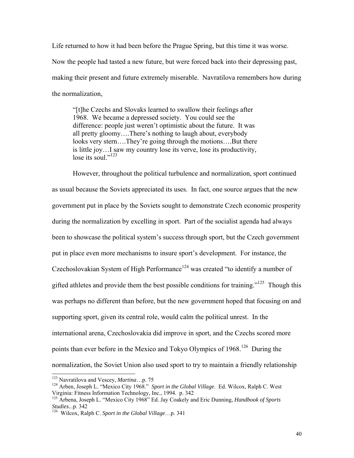Life returned to how it had been before the Prague Spring, but this time it was worse. Now the people had tasted a new future, but were forced back into their depressing past, making their present and future extremely miserable. Navratilova remembers how during the normalization,

"[t]he Czechs and Slovaks learned to swallow their feelings after 1968. We became a depressed society. You could see the difference: people just weren't optimistic about the future. It was all pretty gloomy….There's nothing to laugh about, everybody looks very stern….They're going through the motions….But there is little joy…I saw my country lose its verve, lose its productivity, lose its soul." $^{123}$ 

 However, throughout the political turbulence and normalization, sport continued as usual because the Soviets appreciated its uses. In fact, one source argues that the new government put in place by the Soviets sought to demonstrate Czech economic prosperity during the normalization by excelling in sport. Part of the socialist agenda had always been to showcase the political system's success through sport, but the Czech government put in place even more mechanisms to insure sport's development. For instance, the Czechoslovakian System of High Performance<sup>124</sup> was created "to identify a number of gifted athletes and provide them the best possible conditions for training."<sup>125</sup> Though this was perhaps no different than before, but the new government hoped that focusing on and supporting sport, given its central role, would calm the political unrest. In the international arena, Czechoslovakia did improve in sport, and the Czechs scored more points than ever before in the Mexico and Tokyo Olympics of 1968.<sup>126</sup> During the normalization, the Soviet Union also used sport to try to maintain a friendly relationship

<sup>&</sup>lt;sup>123</sup> Navratilova and Vescey, *Martina*...p. 75

<sup>&</sup>lt;sup>124</sup> Arben, Joseph L. "Mexico City 1968." *Sport in the Global Village*. Ed. Wilcox, Ralph C. West Virginia: Fitness Information Technology, Inc., 1994. p. 342

<sup>125</sup> Arbena, Joseph L. "Mexico City 1968" Ed. Jay Coakely and Eric Dunning, *Handbook of Sports Studies...p.* 342 <br><sup>126</sup> Wilcox, Ralph C. *Sport in the Global Village...p.* 341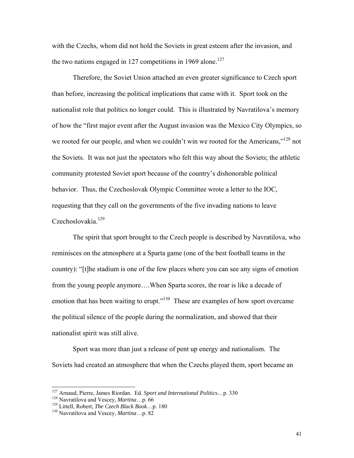with the Czechs, whom did not hold the Soviets in great esteem after the invasion, and the two nations engaged in 127 competitions in 1969 alone.<sup>127</sup>

Therefore, the Soviet Union attached an even greater significance to Czech sport than before, increasing the political implications that came with it. Sport took on the nationalist role that politics no longer could. This is illustrated by Navratilova's memory of how the "first major event after the August invasion was the Mexico City Olympics, so we rooted for our people, and when we couldn't win we rooted for the Americans,"<sup>128</sup> not the Soviets. It was not just the spectators who felt this way about the Soviets; the athletic community protested Soviet sport because of the country's dishonorable political behavior. Thus, the Czechoslovak Olympic Committee wrote a letter to the IOC, requesting that they call on the governments of the five invading nations to leave Czechoslovakia.<sup>129</sup>

The spirit that sport brought to the Czech people is described by Navratilova, who reminisces on the atmosphere at a Sparta game (one of the best football teams in the country): "[t]he stadium is one of the few places where you can see any signs of emotion from the young people anymore….When Sparta scores, the roar is like a decade of emotion that has been waiting to erupt."<sup>130</sup> These are examples of how sport overcame the political silence of the people during the normalization, and showed that their nationalist spirit was still alive.

Sport was more than just a release of pent up energy and nationalism. The Soviets had created an atmosphere that when the Czechs played them, sport became an

<sup>&</sup>lt;sup>127</sup> Arnaud, Pierre, James Riordan. Ed. *Sport and International Politics...* p. 330<br><sup>128</sup> Navratilova and Vescey, *Martina...* p. 66<br><sup>129</sup> Littell, Robert, *The Czech Black Book...* p. 180<br><sup>130</sup> Navratilova and Vescey,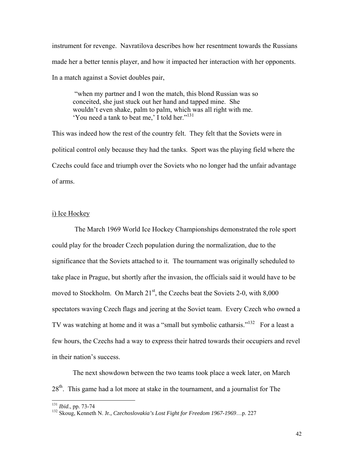instrument for revenge. Navratilova describes how her resentment towards the Russians made her a better tennis player, and how it impacted her interaction with her opponents. In a match against a Soviet doubles pair,

 "when my partner and I won the match, this blond Russian was so conceited, she just stuck out her hand and tapped mine. She wouldn't even shake, palm to palm, which was all right with me. 'You need a tank to beat me,' I told her."131

This was indeed how the rest of the country felt. They felt that the Soviets were in political control only because they had the tanks. Sport was the playing field where the Czechs could face and triumph over the Soviets who no longer had the unfair advantage of arms.

# i) Ice Hockey

 The March 1969 World Ice Hockey Championships demonstrated the role sport could play for the broader Czech population during the normalization, due to the significance that the Soviets attached to it. The tournament was originally scheduled to take place in Prague, but shortly after the invasion, the officials said it would have to be moved to Stockholm. On March  $21<sup>st</sup>$ , the Czechs beat the Soviets 2-0, with  $8,000$ spectators waving Czech flags and jeering at the Soviet team. Every Czech who owned a TV was watching at home and it was a "small but symbolic catharsis."<sup>132</sup> For a least a few hours, the Czechs had a way to express their hatred towards their occupiers and revel in their nation's success.

The next showdown between the two teams took place a week later, on March 28<sup>th</sup>. This game had a lot more at stake in the tournament, and a journalist for The

<sup>&</sup>lt;sup>131</sup> Ibid., pp. 73-74

<sup>&</sup>lt;sup>132</sup> Skoug, Kenneth N. Jr., Czechoslovakia's Lost Fight for Freedom 1967-1969...p. 227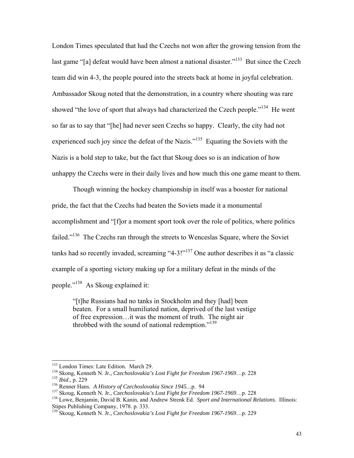London Times speculated that had the Czechs not won after the growing tension from the last game "[a] defeat would have been almost a national disaster."<sup>133</sup> But since the Czech team did win 4-3, the people poured into the streets back at home in joyful celebration. Ambassador Skoug noted that the demonstration, in a country where shouting was rare showed "the love of sport that always had characterized the Czech people."<sup>134</sup> He went so far as to say that "[he] had never seen Czechs so happy. Clearly, the city had not experienced such joy since the defeat of the Nazis."<sup>135</sup> Equating the Soviets with the Nazis is a bold step to take, but the fact that Skoug does so is an indication of how unhappy the Czechs were in their daily lives and how much this one game meant to them.

Though winning the hockey championship in itself was a booster for national pride, the fact that the Czechs had beaten the Soviets made it a monumental accomplishment and "[f]or a moment sport took over the role of politics, where politics failed."<sup>136</sup> The Czechs ran through the streets to Wenceslas Square, where the Soviet tanks had so recently invaded, screaming "4-3!"<sup>137</sup> One author describes it as "a classic example of a sporting victory making up for a military defeat in the minds of the people."138 As Skoug explained it:

"[t]he Russians had no tanks in Stockholm and they [had] been beaten. For a small humiliated nation, deprived of the last vestige of free expression…it was the moment of truth. The night air throbbed with the sound of national redemption."<sup>139</sup>

<sup>&</sup>lt;sup>133</sup> London Times: Late Edition. March 29.

<sup>&</sup>lt;sup>134</sup> Skong, Kenneth N. Jr., *Czechoslovakia's Lost Fight for Freedom 1967-1969*...p. 228<br><sup>135</sup> *Ibid.*, p. 229<br><sup>136</sup> Renner Hans. *A History of Czechoslovakia Since 1945*...p. 94<br><sup>137</sup> Skoug, Kenneth N. Jr., *Czechoslova* 

Stipes Publishing Company, 1978. p. 333.

<sup>139</sup> Skoug, Kenneth N. Jr*., Czechoslovakia's Lost Fight for Freedom 1967-1969*…p. 229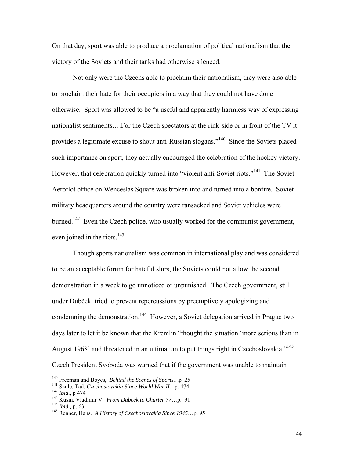On that day, sport was able to produce a proclamation of political nationalism that the victory of the Soviets and their tanks had otherwise silenced.

Not only were the Czechs able to proclaim their nationalism, they were also able to proclaim their hate for their occupiers in a way that they could not have done otherwise. Sport was allowed to be "a useful and apparently harmless way of expressing nationalist sentiments….For the Czech spectators at the rink-side or in front of the TV it provides a legitimate excuse to shout anti-Russian slogans."140 Since the Soviets placed such importance on sport, they actually encouraged the celebration of the hockey victory. However, that celebration quickly turned into "violent anti-Soviet riots."<sup>141</sup> The Soviet Aeroflot office on Wenceslas Square was broken into and turned into a bonfire. Soviet military headquarters around the country were ransacked and Soviet vehicles were burned.<sup>142</sup> Even the Czech police, who usually worked for the communist government, even joined in the riots. $143$ 

Though sports nationalism was common in international play and was considered to be an acceptable forum for hateful slurs, the Soviets could not allow the second demonstration in a week to go unnoticed or unpunished. The Czech government, still under Dubček, tried to prevent repercussions by preemptively apologizing and condemning the demonstration.<sup>144</sup> However, a Soviet delegation arrived in Prague two days later to let it be known that the Kremlin "thought the situation 'more serious than in August 1968' and threatened in an ultimatum to put things right in Czechoslovakia."<sup>145</sup> Czech President Svoboda was warned that if the government was unable to maintain

<sup>&</sup>lt;sup>140</sup> Freeman and Boyes, *Behind the Scenes of Sports...p.* 25

<sup>&</sup>lt;sup>141</sup> Szulc, Tad. *Czechoslovakia Since World War II...* p. 474<br><sup>142</sup> *Ibid.*, p 474<br><sup>143</sup> Kusin, Vladimir V. *From Dubcek to Charter 77...* p. 91<br><sup>144</sup> *Ibid.*, p. 63<br><sup>145</sup> Renner, Hans. *A History of Czechoslovakia Sinc*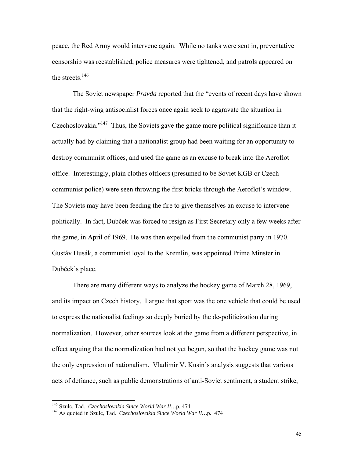peace, the Red Army would intervene again. While no tanks were sent in, preventative censorship was reestablished, police measures were tightened, and patrols appeared on the streets. $146$ 

The Soviet newspaper *Pravda* reported that the "events of recent days have shown that the right-wing antisocialist forces once again seek to aggravate the situation in Czechoslovakia."147 Thus, the Soviets gave the game more political significance than it actually had by claiming that a nationalist group had been waiting for an opportunity to destroy communist offices, and used the game as an excuse to break into the Aeroflot office. Interestingly, plain clothes officers (presumed to be Soviet KGB or Czech communist police) were seen throwing the first bricks through the Aeroflot's window. The Soviets may have been feeding the fire to give themselves an excuse to intervene politically. In fact, Dubček was forced to resign as First Secretary only a few weeks after the game, in April of 1969. He was then expelled from the communist party in 1970. Gustáv Husák, a communist loyal to the Kremlin, was appointed Prime Minster in Dubček's place.

There are many different ways to analyze the hockey game of March 28, 1969, and its impact on Czech history. I argue that sport was the one vehicle that could be used to express the nationalist feelings so deeply buried by the de-politicization during normalization. However, other sources look at the game from a different perspective, in effect arguing that the normalization had not yet begun, so that the hockey game was not the only expression of nationalism. Vladimir V. Kusin's analysis suggests that various acts of defiance, such as public demonstrations of anti-Soviet sentiment, a student strike,

<sup>&</sup>lt;sup>146</sup> Szulc, Tad. Czechoslovakia Since World War II...p. 474

<sup>&</sup>lt;sup>147</sup> As quoted in Szulc, Tad. *Czechoslovakia Since World War II...p.* 474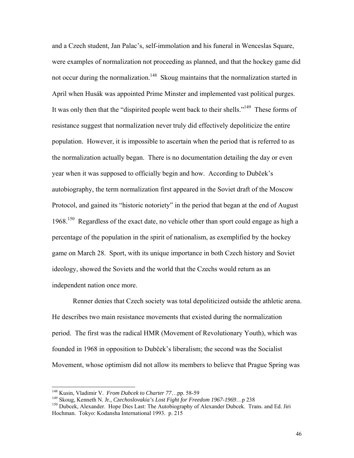and a Czech student, Jan Palac's, self-immolation and his funeral in Wenceslas Square, were examples of normalization not proceeding as planned, and that the hockey game did not occur during the normalization.<sup>148</sup> Skoug maintains that the normalization started in April when Husák was appointed Prime Minster and implemented vast political purges. It was only then that the "dispirited people went back to their shells."<sup>149</sup> These forms of resistance suggest that normalization never truly did effectively depoliticize the entire population. However, it is impossible to ascertain when the period that is referred to as the normalization actually began. There is no documentation detailing the day or even year when it was supposed to officially begin and how. According to Dubček's autobiography, the term normalization first appeared in the Soviet draft of the Moscow Protocol, and gained its "historic notoriety" in the period that began at the end of August  $1968$ <sup>150</sup> Regardless of the exact date, no vehicle other than sport could engage as high a percentage of the population in the spirit of nationalism, as exemplified by the hockey game on March 28. Sport, with its unique importance in both Czech history and Soviet ideology, showed the Soviets and the world that the Czechs would return as an independent nation once more.

Renner denies that Czech society was total depoliticized outside the athletic arena. He describes two main resistance movements that existed during the normalization period. The first was the radical HMR (Movement of Revolutionary Youth), which was founded in 1968 in opposition to Dubček's liberalism; the second was the Socialist Movement, whose optimism did not allow its members to believe that Prague Spring was

<sup>&</sup>lt;sup>148</sup> Kusin, Vladimir V. *From Dubcek to Charter 77*...pp. 58-59<br><sup>149</sup> Skoug, Kenneth N. Jr., *Czechoslovakia's Lost Fight for Freedom 1967-1969*...p 238<br><sup>150</sup> Dubcek, Alexander. Hope Dies Last: The Autobiography of Alexa Hochman. Tokyo: Kodansha International 1993. p. 215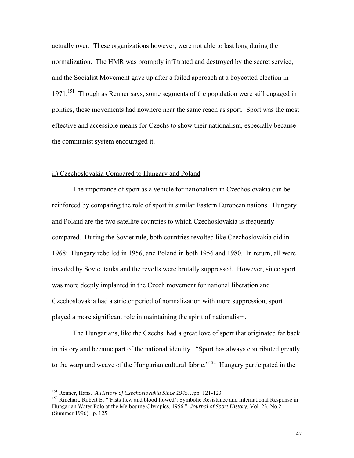actually over. These organizations however, were not able to last long during the normalization. The HMR was promptly infiltrated and destroyed by the secret service, and the Socialist Movement gave up after a failed approach at a boycotted election in 1971.<sup>151</sup> Though as Renner says, some segments of the population were still engaged in politics, these movements had nowhere near the same reach as sport. Sport was the most effective and accessible means for Czechs to show their nationalism, especially because the communist system encouraged it.

#### ii) Czechoslovakia Compared to Hungary and Poland

The importance of sport as a vehicle for nationalism in Czechoslovakia can be reinforced by comparing the role of sport in similar Eastern European nations. Hungary and Poland are the two satellite countries to which Czechoslovakia is frequently compared. During the Soviet rule, both countries revolted like Czechoslovakia did in 1968: Hungary rebelled in 1956, and Poland in both 1956 and 1980. In return, all were invaded by Soviet tanks and the revolts were brutally suppressed. However, since sport was more deeply implanted in the Czech movement for national liberation and Czechoslovakia had a stricter period of normalization with more suppression, sport played a more significant role in maintaining the spirit of nationalism.

 The Hungarians, like the Czechs, had a great love of sport that originated far back in history and became part of the national identity. "Sport has always contributed greatly to the warp and weave of the Hungarian cultural fabric."<sup>152</sup> Hungary participated in the

<sup>&</sup>lt;sup>151</sup> Renner, Hans. A History of Czechoslovakia Since 1945...pp. 121-123

<sup>&</sup>lt;sup>152</sup> Rinehart, Robert E. "'Fists flew and blood flowed': Symbolic Resistance and International Response in Hungarian Water Polo at the Melbourne Olympics, 1956." *Journal of Sport History*, Vol. 23, No.2 (Summer 1996). p. 125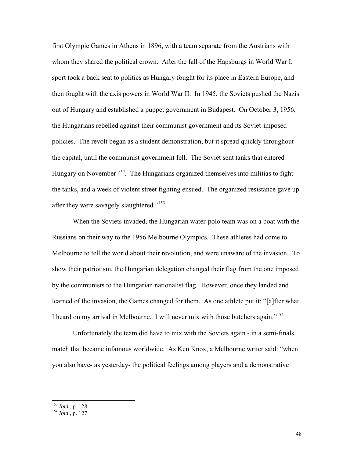first Olympic Games in Athens in 1896, with a team separate from the Austrians with whom they shared the political crown. After the fall of the Hapsburgs in World War I, sport took a back seat to politics as Hungary fought for its place in Eastern Europe, and then fought with the axis powers in World War II. In 1945, the Soviets pushed the Nazis out of Hungary and established a puppet government in Budapest. On October 3, 1956, the Hungarians rebelled against their communist government and its Soviet-imposed policies. The revolt began as a student demonstration, but it spread quickly throughout the capital, until the communist government fell. The Soviet sent tanks that entered Hungary on November  $4<sup>th</sup>$ . The Hungarians organized themselves into militias to fight the tanks, and a week of violent street fighting ensued. The organized resistance gave up after they were savagely slaughtered."<sup>153</sup>

 When the Soviets invaded, the Hungarian water-polo team was on a boat with the Russians on their way to the 1956 Melbourne Olympics. These athletes had come to Melbourne to tell the world about their revolution, and were unaware of the invasion. To show their patriotism, the Hungarian delegation changed their flag from the one imposed by the communists to the Hungarian nationalist flag. However, once they landed and learned of the invasion, the Games changed for them. As one athlete put it: "[a]fter what I heard on my arrival in Melbourne. I will never mix with those butchers again."<sup>154</sup>

 Unfortunately the team did have to mix with the Soviets again - in a semi-finals match that became infamous worldwide. As Ken Knox, a Melbourne writer said: "when you also have- as yesterday- the political feelings among players and a demonstrative

<sup>153</sup> *Ibid*., p. 128 154 *Ibid*., p. 127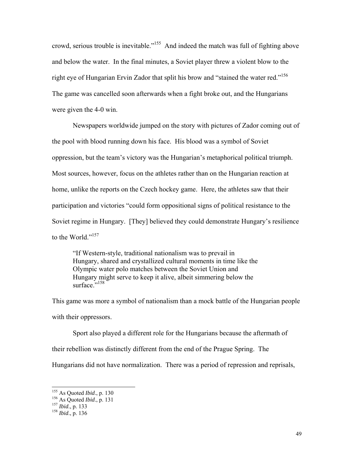crowd, serious trouble is inevitable."155 And indeed the match was full of fighting above and below the water. In the final minutes, a Soviet player threw a violent blow to the right eye of Hungarian Ervin Zador that split his brow and "stained the water red."<sup>156</sup> The game was cancelled soon afterwards when a fight broke out, and the Hungarians were given the 4-0 win.

Newspapers worldwide jumped on the story with pictures of Zador coming out of the pool with blood running down his face. His blood was a symbol of Soviet oppression, but the team's victory was the Hungarian's metaphorical political triumph. Most sources, however, focus on the athletes rather than on the Hungarian reaction at home, unlike the reports on the Czech hockey game. Here, the athletes saw that their participation and victories "could form oppositional signs of political resistance to the Soviet regime in Hungary. [They] believed they could demonstrate Hungary's resilience to the World."<sup>157</sup>

"If Western-style, traditional nationalism was to prevail in Hungary, shared and crystallized cultural moments in time like the Olympic water polo matches between the Soviet Union and Hungary might serve to keep it alive, albeit simmering below the surface."<sup>158</sup>

This game was more a symbol of nationalism than a mock battle of the Hungarian people with their oppressors.

 Sport also played a different role for the Hungarians because the aftermath of their rebellion was distinctly different from the end of the Prague Spring. The

Hungarians did not have normalization. There was a period of repression and reprisals,

<sup>155</sup> As Quoted *Ibid*., p. 130 156 As Quoted *Ibid*., p. 131 157 *Ibid*., p. 133 158 *Ibid*., p. 136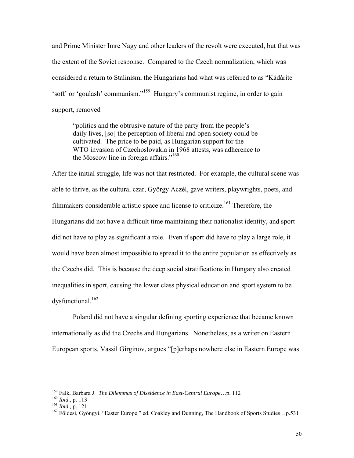and Prime Minister Imre Nagy and other leaders of the revolt were executed, but that was the extent of the Soviet response. Compared to the Czech normalization, which was considered a return to Stalinism, the Hungarians had what was referred to as "Kádárite 'soft' or 'goulash' communism."159 Hungary's communist regime, in order to gain support, removed

"politics and the obtrusive nature of the party from the people's daily lives, [so] the perception of liberal and open society could be cultivated. The price to be paid, as Hungarian support for the WTO invasion of Czechoslovakia in 1968 attests, was adherence to the Moscow line in foreign affairs."<sup>160</sup>

After the initial struggle, life was not that restricted. For example, the cultural scene was able to thrive, as the cultural czar, György Aczél, gave writers, playwrights, poets, and filmmakers considerable artistic space and license to criticize.<sup>161</sup> Therefore, the Hungarians did not have a difficult time maintaining their nationalist identity, and sport did not have to play as significant a role. Even if sport did have to play a large role, it would have been almost impossible to spread it to the entire population as effectively as the Czechs did. This is because the deep social stratifications in Hungary also created inequalities in sport, causing the lower class physical education and sport system to be dysfunctional.<sup>162</sup>

 Poland did not have a singular defining sporting experience that became known internationally as did the Czechs and Hungarians. Nonetheless, as a writer on Eastern European sports, Vassil Girginov, argues "[p]erhaps nowhere else in Eastern Europe was

<sup>&</sup>lt;sup>159</sup> Falk, Barbara J. The Dilemmas of Dissidence in East-Central Europe...p. 112

<sup>&</sup>lt;sup>160</sup>*Ibid.*, p. 113<br><sup>161</sup>*Ibid.*, p. 121<br><sup>161</sup>*Ibid.*, p. 121<br><sup>162</sup> Földesi, Gyöngyi. "Easter Europe." ed. Coakley and Dunning, The Handbook of Sports Studies...p.531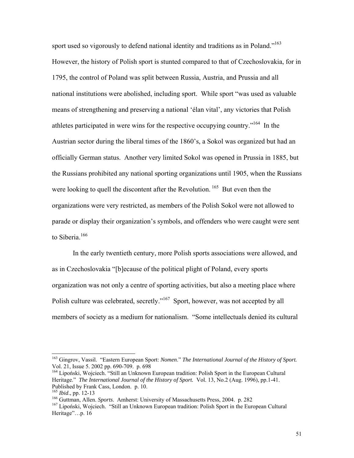sport used so vigorously to defend national identity and traditions as in Poland."<sup>163</sup> However, the history of Polish sport is stunted compared to that of Czechoslovakia, for in 1795, the control of Poland was split between Russia, Austria, and Prussia and all national institutions were abolished, including sport. While sport "was used as valuable means of strengthening and preserving a national 'élan vital', any victories that Polish athletes participated in were wins for the respective occupying country.<sup>"164</sup> In the Austrian sector during the liberal times of the 1860's, a Sokol was organized but had an officially German status. Another very limited Sokol was opened in Prussia in 1885, but the Russians prohibited any national sporting organizations until 1905, when the Russians were looking to quell the discontent after the Revolution.<sup>165</sup> But even then the organizations were very restricted, as members of the Polish Sokol were not allowed to parade or display their organization's symbols, and offenders who were caught were sent to Siberia.<sup>166</sup>

 In the early twentieth century, more Polish sports associations were allowed, and as in Czechoslovakia "[b]ecause of the political plight of Poland, every sports organization was not only a centre of sporting activities, but also a meeting place where Polish culture was celebrated, secretly."<sup>167</sup> Sport, however, was not accepted by all members of society as a medium for nationalism. "Some intellectuals denied its cultural

l

<sup>163</sup> Gingrov, Vassil. "Eastern European Sport: *Nomen*." *The International Journal of the History of Sport.* Vol. 21, Issue 5. 2002 pp. 690-709. p. 698

<sup>&</sup>lt;sup>164</sup> Lipoński, Wojciech. "Still an Unknown European tradition: Polish Sport in the European Cultural Heritage." *The International Journal of the History of Sport.* Vol. 13, No.2 (Aug. 1996), pp.1-41. Published by Frank Cass, London. p. 10.<br><sup>165</sup> *Ibid.*, pp. 12-13

<sup>&</sup>lt;sup>166</sup> Guttman, Allen. *Sports*. Amherst: University of Massachusetts Press, 2004. p. 282<br><sup>167</sup> Lipoński, Wojciech. "Still an Unknown European tradition: Polish Sport in the European Cultural Heritage"...p. 16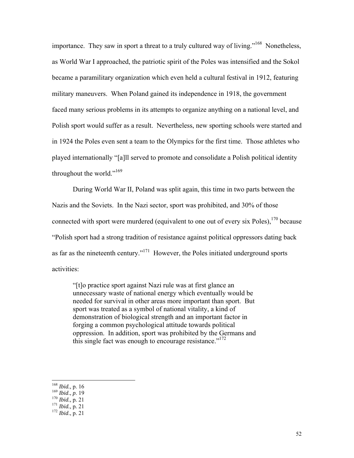importance. They saw in sport a threat to a truly cultured way of living."<sup>168</sup> Nonetheless, as World War I approached, the patriotic spirit of the Poles was intensified and the Sokol became a paramilitary organization which even held a cultural festival in 1912, featuring military maneuvers. When Poland gained its independence in 1918, the government faced many serious problems in its attempts to organize anything on a national level, and Polish sport would suffer as a result. Nevertheless, new sporting schools were started and in 1924 the Poles even sent a team to the Olympics for the first time. Those athletes who played internationally "[a]ll served to promote and consolidate a Polish political identity throughout the world."169

 During World War II, Poland was split again, this time in two parts between the Nazis and the Soviets. In the Nazi sector, sport was prohibited, and 30% of those connected with sport were murdered (equivalent to one out of every six Poles), $170$  because "Polish sport had a strong tradition of resistance against political oppressors dating back as far as the nineteenth century."171 However, the Poles initiated underground sports activities:

"[t]o practice sport against Nazi rule was at first glance an unnecessary waste of national energy which eventually would be needed for survival in other areas more important than sport. But sport was treated as a symbol of national vitality, a kind of demonstration of biological strength and an important factor in forging a common psychological attitude towards political oppression. In addition, sport was prohibited by the Germans and this single fact was enough to encourage resistance."<sup>172</sup>

 $168$  *Ibid.*, p. 16

<sup>168</sup> *Ibid.,* p. 16 169 *Ibid*., *p*. 19 170 *Ibid.,* p*.* 21 171 *Ibid.,* p*.* 21 172 *Ibid*., p. 21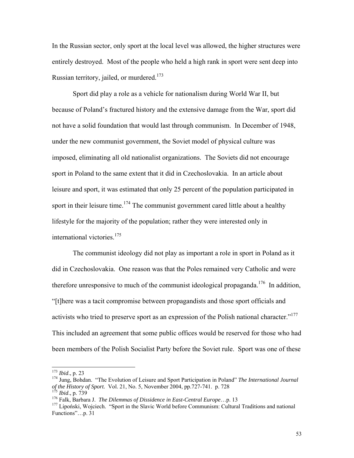In the Russian sector, only sport at the local level was allowed, the higher structures were entirely destroyed. Most of the people who held a high rank in sport were sent deep into Russian territory, jailed, or murdered.<sup>173</sup>

 Sport did play a role as a vehicle for nationalism during World War II, but because of Poland's fractured history and the extensive damage from the War, sport did not have a solid foundation that would last through communism. In December of 1948, under the new communist government, the Soviet model of physical culture was imposed, eliminating all old nationalist organizations. The Soviets did not encourage sport in Poland to the same extent that it did in Czechoslovakia. In an article about leisure and sport, it was estimated that only 25 percent of the population participated in sport in their leisure time.<sup>174</sup> The communist government cared little about a healthy lifestyle for the majority of the population; rather they were interested only in international victories.175

The communist ideology did not play as important a role in sport in Poland as it did in Czechoslovakia. One reason was that the Poles remained very Catholic and were therefore unresponsive to much of the communist ideological propaganda.<sup>176</sup> In addition, "[t]here was a tacit compromise between propagandists and those sport officials and activists who tried to preserve sport as an expression of the Polish national character."177 This included an agreement that some public offices would be reserved for those who had been members of the Polish Socialist Party before the Soviet rule. Sport was one of these

 $173$  *Ibid.*, p. 23

<sup>&</sup>lt;sup>174</sup> Jung, Bohdan. "The Evolution of Leisure and Sport Participation in Poland" *The International Journal* of the History of Sport. Vol. 21, No. 5, November 2004, pp.727-741. p. 728<br><sup>175</sup> Ibid., p. 739<br><sup>176</sup> Falk, Barbara J. *The Dilemmas of Dissidence in East-Central Europe*...p. 13<br><sup>176</sup> Lipoński, Wojciech. "Sport in the Slav

Functions"…p. 31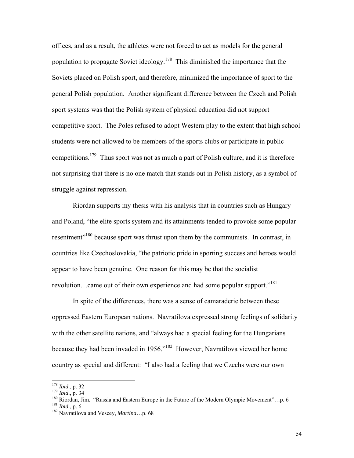offices, and as a result, the athletes were not forced to act as models for the general population to propagate Soviet ideology.<sup>178</sup> This diminished the importance that the Soviets placed on Polish sport, and therefore, minimized the importance of sport to the general Polish population. Another significant difference between the Czech and Polish sport systems was that the Polish system of physical education did not support competitive sport. The Poles refused to adopt Western play to the extent that high school students were not allowed to be members of the sports clubs or participate in public competitions.<sup>179</sup> Thus sport was not as much a part of Polish culture, and it is therefore not surprising that there is no one match that stands out in Polish history, as a symbol of struggle against repression.

 Riordan supports my thesis with his analysis that in countries such as Hungary and Poland, "the elite sports system and its attainments tended to provoke some popular resentment<sup>"180</sup> because sport was thrust upon them by the communists. In contrast, in countries like Czechoslovakia, "the patriotic pride in sporting success and heroes would appear to have been genuine. One reason for this may be that the socialist revolution…came out of their own experience and had some popular support."181

In spite of the differences, there was a sense of camaraderie between these oppressed Eastern European nations. Navratilova expressed strong feelings of solidarity with the other satellite nations, and "always had a special feeling for the Hungarians" because they had been invaded in 1956."182 However, Navratilova viewed her home country as special and different: "I also had a feeling that we Czechs were our own

<sup>&</sup>lt;sup>178</sup> *Ibid.*, p. 32

<sup>179</sup> *Ibid.*, p. 34<br><sup>180</sup> Riordan, Jim. "Russia and Eastern Europe in the Future of the Modern Olympic Movement"...p. 6<br><sup>181</sup> *Ibid.*, p. 6<br><sup>182</sup> Navratilova and Vescey, *Martina*...p. 68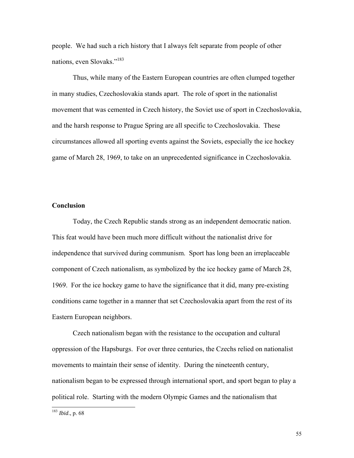people. We had such a rich history that I always felt separate from people of other nations, even Slovaks."183

 Thus, while many of the Eastern European countries are often clumped together in many studies, Czechoslovakia stands apart. The role of sport in the nationalist movement that was cemented in Czech history, the Soviet use of sport in Czechoslovakia, and the harsh response to Prague Spring are all specific to Czechoslovakia. These circumstances allowed all sporting events against the Soviets, especially the ice hockey game of March 28, 1969, to take on an unprecedented significance in Czechoslovakia.

#### **Conclusion**

 Today, the Czech Republic stands strong as an independent democratic nation. This feat would have been much more difficult without the nationalist drive for independence that survived during communism. Sport has long been an irreplaceable component of Czech nationalism, as symbolized by the ice hockey game of March 28, 1969. For the ice hockey game to have the significance that it did, many pre-existing conditions came together in a manner that set Czechoslovakia apart from the rest of its Eastern European neighbors.

Czech nationalism began with the resistance to the occupation and cultural oppression of the Hapsburgs. For over three centuries, the Czechs relied on nationalist movements to maintain their sense of identity. During the nineteenth century, nationalism began to be expressed through international sport, and sport began to play a political role. Starting with the modern Olympic Games and the nationalism that

<sup>183</sup> *Ibid*., p. 68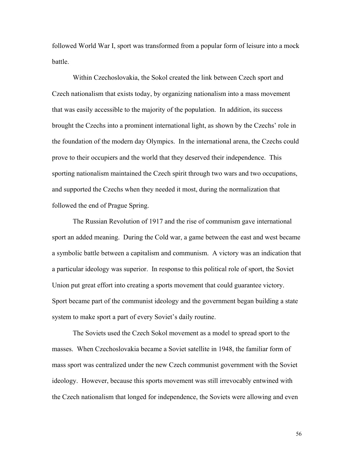followed World War I, sport was transformed from a popular form of leisure into a mock battle.

Within Czechoslovakia, the Sokol created the link between Czech sport and Czech nationalism that exists today, by organizing nationalism into a mass movement that was easily accessible to the majority of the population. In addition, its success brought the Czechs into a prominent international light, as shown by the Czechs' role in the foundation of the modern day Olympics. In the international arena, the Czechs could prove to their occupiers and the world that they deserved their independence. This sporting nationalism maintained the Czech spirit through two wars and two occupations, and supported the Czechs when they needed it most, during the normalization that followed the end of Prague Spring.

The Russian Revolution of 1917 and the rise of communism gave international sport an added meaning. During the Cold war, a game between the east and west became a symbolic battle between a capitalism and communism. A victory was an indication that a particular ideology was superior. In response to this political role of sport, the Soviet Union put great effort into creating a sports movement that could guarantee victory. Sport became part of the communist ideology and the government began building a state system to make sport a part of every Soviet's daily routine.

The Soviets used the Czech Sokol movement as a model to spread sport to the masses. When Czechoslovakia became a Soviet satellite in 1948, the familiar form of mass sport was centralized under the new Czech communist government with the Soviet ideology. However, because this sports movement was still irrevocably entwined with the Czech nationalism that longed for independence, the Soviets were allowing and even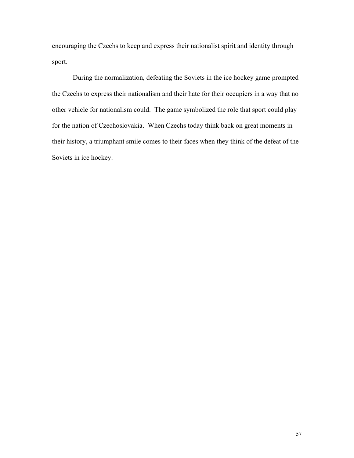encouraging the Czechs to keep and express their nationalist spirit and identity through sport.

During the normalization, defeating the Soviets in the ice hockey game prompted the Czechs to express their nationalism and their hate for their occupiers in a way that no other vehicle for nationalism could. The game symbolized the role that sport could play for the nation of Czechoslovakia. When Czechs today think back on great moments in their history, a triumphant smile comes to their faces when they think of the defeat of the Soviets in ice hockey.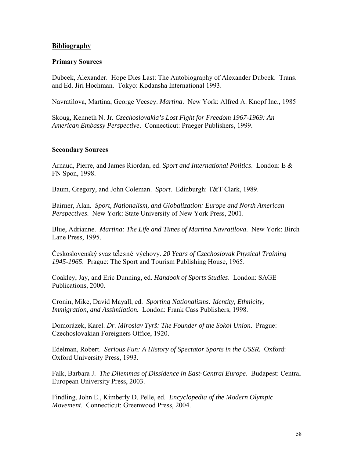# **Bibliography**

# **Primary Sources**

Dubcek, Alexander. Hope Dies Last: The Autobiography of Alexander Dubcek. Trans. and Ed. Jiri Hochman. Tokyo: Kodansha International 1993.

Navratilova, Martina, George Vecsey. *Martina*. New York: Alfred A. Knopf Inc., 1985

Skoug, Kenneth N. Jr*. Czechoslovakia's Lost Fight for Freedom 1967-1969: An American Embassy Perspective*. Connecticut: Praeger Publishers, 1999.

# **Secondary Sources**

Arnaud, Pierre, and James Riordan, ed. *Sport and International Politics*. London: E & FN Spon, 1998.

Baum, Gregory, and John Coleman. *Sport*. Edinburgh: T&T Clark, 1989.

Bairner, Alan. *Sport, Nationalism, and Globalization: Europe and North American Perspectives*. New York: State University of New York Press, 2001.

Blue, Adrianne. *Martina: The Life and Times of Martina Navratilova*. New York: Birch Lane Press, 1995.

Československý svaz tělesné výchovy. *20 Years of Czechoslovak Physical Training 1945-1965*. Prague: The Sport and Tourism Publishing House, 1965.

Coakley, Jay, and Eric Dunning, ed. *Handook of Sports Studies*. London: SAGE Publications, 2000.

Cronin, Mike, David Mayall, ed. *Sporting Nationalisms: Identity, Ethnicity, Immigration, and Assimilation.* London: Frank Cass Publishers, 1998.

Domorázek, Karel. *Dr. Miroslav Tyrš: The Founder of the Sokol Union*. Prague: Czechoslovakian Foreigners Office, 1920.

Edelman, Robert. *Serious Fun: A History of Spectator Sports in the USSR.* Oxford: Oxford University Press, 1993.

Falk, Barbara J. *The Dilemmas of Dissidence in East-Central Europe*. Budapest: Central European University Press, 2003.

Findling, John E., Kimberly D. Pelle, ed. *Encyclopedia of the Modern Olympic Movement*. Connecticut: Greenwood Press, 2004.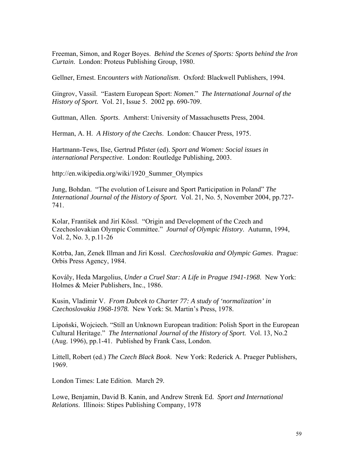Freeman, Simon, and Roger Boyes. *Behind the Scenes of Sports: Sports behind the Iron Curtain*. London: Proteus Publishing Group, 1980.

Gellner, Ernest. E*ncounters with Nationalism*. Oxford: Blackwell Publishers, 1994.

Gingrov, Vassil. "Eastern European Sport: *Nomen*." *The International Journal of the History of Sport.* Vol. 21, Issue 5. 2002 pp. 690-709.

Guttman, Allen. *Sports*. Amherst: University of Massachusetts Press, 2004.

Herman, A. H. *A History of the Czechs*. London: Chaucer Press, 1975.

Hartmann-Tews, Ilse, Gertrud Pfister (ed). *Sport and Women: Social issues in international Perspective*. London: Routledge Publishing, 2003.

http://en.wikipedia.org/wiki/1920\_Summer\_Olympics

Jung, Bohdan. "The evolution of Leisure and Sport Participation in Poland" *The International Journal of the History of Sport.* Vol. 21, No. 5, November 2004, pp.727- 741.

Kolar, František and Jirí Kössl. "Origin and Development of the Czech and Czechoslovakian Olympic Committee." *Journal of Olympic History*. Autumn, 1994, Vol. 2, No. 3, p.11-26

Kotrba, Jan, Zenek Illman and Jiri Kossl. *Czechoslovakia and Olympic Games*. Prague: Orbis Press Agency, 1984.

Kovály, Heda Margolius, *Under a Cruel Star: A Life in Prague 1941-1968*. New York: Holmes & Meier Publishers, Inc., 1986.

Kusin, Vladimir V. *From Dubcek to Charter 77: A study of 'normalization' in Czechoslovakia 1968-1978.* New York: St. Martin's Press, 1978.

Lipoński, Wojciech. "Still an Unknown European tradition: Polish Sport in the European Cultural Heritage." *The International Journal of the History of Sport.* Vol. 13, No.2 (Aug. 1996), pp.1-41. Published by Frank Cass, London.

Littell, Robert (ed.) *The Czech Black Book*. New York: Rederick A. Praeger Publishers, 1969.

London Times: Late Edition. March 29.

Lowe, Benjamin, David B. Kanin, and Andrew Strenk Ed. *Sport and International Relations*. Illinois: Stipes Publishing Company, 1978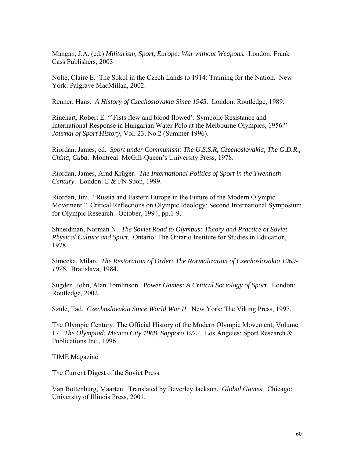Mangan, J.A. (ed.) *Militarism, Sport, Europe: War without Weapons.* London: Frank Cass Publishers, 2003

Nolte, Claire E. The Sokol in the Czech Lands to 1914: Training for the Nation. New York: Palgrave MacMillan, 2002.

Renner, Hans. *A History of Czechoslovakia Since 1945*. London: Routledge, 1989.

Rinehart, Robert E. "'Fists flew and blood flowed': Symbolic Resistance and International Response in Hungarian Water Polo at the Melbourne Olympics, 1956." *Journal of Sport History*, Vol. 23, No.2 (Summer 1996).

Riordan, James, ed. *Sport under Communism: The U.S.S.R, Czechoslovakia, The G.D.R., China, Cuba*. Montreal: McGill-Queen's University Press, 1978.

Riordan, James, Arnd Krüger. *The International Politics of Sport in the Twentieth Century*. London: E & FN Spon, 1999.

Riordan, Jim. "Russia and Eastern Europe in the Future of the Modern Olympic Movement." Critical Reflections on Olympic Ideology: Second International Symposium for Olympic Research. October, 1994, pp.1-9.

Shneidman, Norman N. *The Soviet Road to Olympus: Theory and Practice of Soviet Physical Culture and Sport*. Ontario: The Ontario Institute for Studies in Education, 1978.

Simecka, Milan. *The Restoration of Order: The Normalization of Czechoslovakia 1969- 1976*. Bratislava, 1984.

Sugden, John, Alan Tomlinson. P*ower Games: A Critical Sociology of Sport.* London: Routledge, 2002.

Szulc, Tad. *Czechoslovakia Since World War II*. New York: The Viking Press, 1997.

The Olympic Century: The Official History of the Modern Olympic Movement, Volume 17. *The Olympiad: Mexico City 1968, Sapporo 1972*. Los Angeles: Sport Research & Publications Inc., 1996.

TIME Magazine.

The Current Digest of the Soviet Press.

Van Bottenburg, Maarten. Translated by Beverley Jackson. *Global Games*. Chicago: University of Illinois Press, 2001.